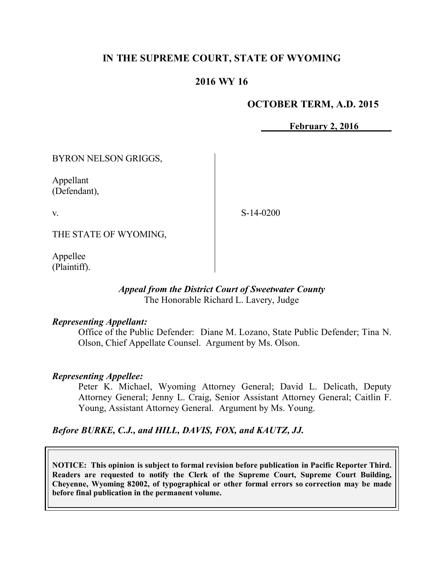# **IN THE SUPREME COURT, STATE OF WYOMING**

# **2016 WY 16**

#### **OCTOBER TERM, A.D. 2015**

**February 2, 2016**

BYRON NELSON GRIGGS,

Appellant (Defendant),

v.

S-14-0200

THE STATE OF WYOMING,

Appellee (Plaintiff).

#### *Appeal from the District Court of Sweetwater County* The Honorable Richard L. Lavery, Judge

#### *Representing Appellant:*

Office of the Public Defender: Diane M. Lozano, State Public Defender; Tina N. Olson, Chief Appellate Counsel. Argument by Ms. Olson.

#### *Representing Appellee:*

Peter K. Michael, Wyoming Attorney General; David L. Delicath, Deputy Attorney General; Jenny L. Craig, Senior Assistant Attorney General; Caitlin F. Young, Assistant Attorney General. Argument by Ms. Young.

*Before BURKE, C.J., and HILL, DAVIS, FOX, and KAUTZ, JJ.*

**NOTICE: This opinion is subject to formal revision before publication in Pacific Reporter Third. Readers are requested to notify the Clerk of the Supreme Court, Supreme Court Building, Cheyenne, Wyoming 82002, of typographical or other formal errors so correction may be made before final publication in the permanent volume.**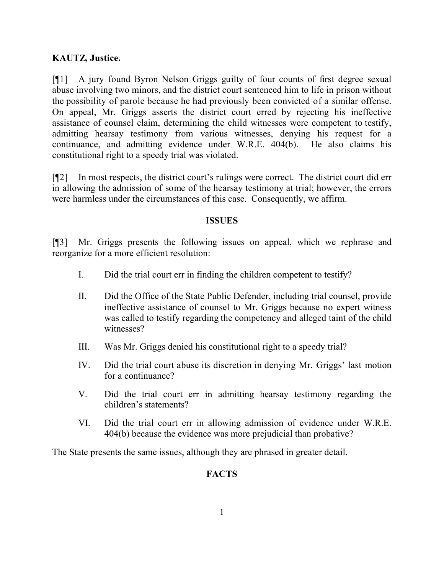## **KAUTZ, Justice.**

[¶1] A jury found Byron Nelson Griggs guilty of four counts of first degree sexual abuse involving two minors, and the district court sentenced him to life in prison without the possibility of parole because he had previously been convicted of a similar offense. On appeal, Mr. Griggs asserts the district court erred by rejecting his ineffective assistance of counsel claim, determining the child witnesses were competent to testify, admitting hearsay testimony from various witnesses, denying his request for a continuance, and admitting evidence under W.R.E. 404(b). He also claims his constitutional right to a speedy trial was violated.

[¶2] In most respects, the district court's rulings were correct. The district court did err in allowing the admission of some of the hearsay testimony at trial; however, the errors were harmless under the circumstances of this case. Consequently, we affirm.

#### **ISSUES**

[¶3] Mr. Griggs presents the following issues on appeal, which we rephrase and reorganize for a more efficient resolution:

- I. Did the trial court err in finding the children competent to testify?
- II. Did the Office of the State Public Defender, including trial counsel, provide ineffective assistance of counsel to Mr. Griggs because no expert witness was called to testify regarding the competency and alleged taint of the child witnesses?
- III. Was Mr. Griggs denied his constitutional right to a speedy trial?
- IV. Did the trial court abuse its discretion in denying Mr. Griggs' last motion for a continuance?
- V. Did the trial court err in admitting hearsay testimony regarding the children's statements?
- VI. Did the trial court err in allowing admission of evidence under W.R.E. 404(b) because the evidence was more prejudicial than probative?

The State presents the same issues, although they are phrased in greater detail.

## **FACTS**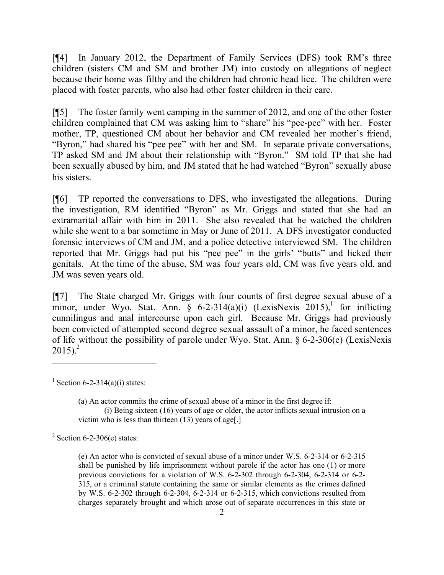[¶4] In January 2012, the Department of Family Services (DFS) took RM's three children (sisters CM and SM and brother JM) into custody on allegations of neglect because their home was filthy and the children had chronic head lice. The children were placed with foster parents, who also had other foster children in their care.

[¶5] The foster family went camping in the summer of 2012, and one of the other foster children complained that CM was asking him to "share" his "pee-pee" with her. Foster mother, TP, questioned CM about her behavior and CM revealed her mother's friend, "Byron," had shared his "pee pee" with her and SM. In separate private conversations, TP asked SM and JM about their relationship with "Byron." SM told TP that she had been sexually abused by him, and JM stated that he had watched "Byron" sexually abuse his sisters.

[¶6] TP reported the conversations to DFS, who investigated the allegations. During the investigation, RM identified "Byron" as Mr. Griggs and stated that she had an extramarital affair with him in 2011. She also revealed that he watched the children while she went to a bar sometime in May or June of 2011. A DFS investigator conducted forensic interviews of CM and JM, and a police detective interviewed SM. The children reported that Mr. Griggs had put his "pee pee" in the girls' "butts" and licked their genitals. At the time of the abuse, SM was four years old, CM was five years old, and JM was seven years old.

[¶7] The State charged Mr. Griggs with four counts of first degree sexual abuse of a minor, under Wyo. Stat. Ann. § 6-2-314(a)(i) (LexisNexis 2015),<sup>1</sup> for inflicting cunnilingus and anal intercourse upon each girl. Because Mr. Griggs had previously been convicted of attempted second degree sexual assault of a minor, he faced sentences of life without the possibility of parole under Wyo. Stat. Ann. § 6-2-306(e) (LexisNexis  $2015$ ).<sup>2</sup>

 $\overline{a}$ 

 $2$  Section 6-2-306(e) states:

<sup>&</sup>lt;sup>1</sup> Section 6-2-314(a)(i) states:

<sup>(</sup>a) An actor commits the crime of sexual abuse of a minor in the first degree if: (i) Being sixteen (16) years of age or older, the actor inflicts sexual intrusion on a victim who is less than thirteen (13) years of age[.]

<sup>(</sup>e) An actor who is convicted of sexual abuse of a minor under W.S. 6-2-314 or 6-2-315 shall be punished by life imprisonment without parole if the actor has one (1) or more previous convictions for a violation of W.S. 6-2-302 through 6-2-304, 6-2-314 or 6-2- 315, or a criminal statute containing the same or similar elements as the crimes defined by W.S. 6-2-302 through 6-2-304, 6-2-314 or 6-2-315, which convictions resulted from charges separately brought and which arose out of separate occurrences in this state or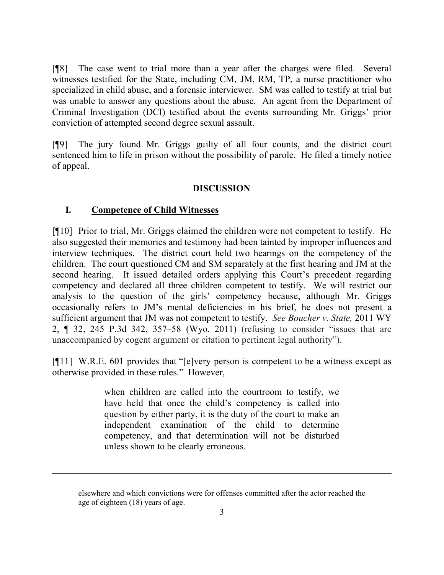[¶8] The case went to trial more than a year after the charges were filed. Several witnesses testified for the State, including CM, JM, RM, TP, a nurse practitioner who specialized in child abuse, and a forensic interviewer. SM was called to testify at trial but was unable to answer any questions about the abuse. An agent from the Department of Criminal Investigation (DCI) testified about the events surrounding Mr. Griggs' prior conviction of attempted second degree sexual assault.

[¶9] The jury found Mr. Griggs guilty of all four counts, and the district court sentenced him to life in prison without the possibility of parole. He filed a timely notice of appeal.

## **DISCUSSION**

#### **I. Competence of Child Witnesses**

[¶10] Prior to trial, Mr. Griggs claimed the children were not competent to testify. He also suggested their memories and testimony had been tainted by improper influences and interview techniques. The district court held two hearings on the competency of the children. The court questioned CM and SM separately at the first hearing and JM at the second hearing. It issued detailed orders applying this Court's precedent regarding competency and declared all three children competent to testify. We will restrict our analysis to the question of the girls' competency because, although Mr. Griggs occasionally refers to JM's mental deficiencies in his brief, he does not present a sufficient argument that JM was not competent to testify. *See Boucher v. State,* 2011 WY 2, ¶ 32, 245 P.3d 342, 357–58 (Wyo. 2011) (refusing to consider "issues that are unaccompanied by cogent argument or citation to pertinent legal authority").

[¶11] W.R.E. 601 provides that "[e]very person is competent to be a witness except as otherwise provided in these rules." However,

> when children are called into the courtroom to testify, we have held that once the child's competency is called into question by either party, it is the duty of the court to make an independent examination of the child to determine competency, and that determination will not be disturbed unless shown to be clearly erroneous.

elsewhere and which convictions were for offenses committed after the actor reached the age of eighteen (18) years of age.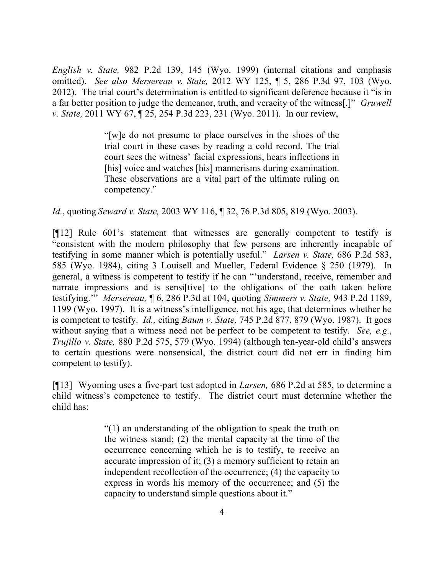*English v. State,* 982 P.2d 139, 145 (Wyo. 1999) (internal citations and emphasis omitted). *See also Mersereau v. State,* 2012 WY 125, ¶ 5, 286 P.3d 97, 103 (Wyo. 2012). The trial court's determination is entitled to significant deference because it "is in a far better position to judge the demeanor, truth, and veracity of the witness[.]" *Gruwell v. State,* 2011 WY 67, ¶ 25, 254 P.3d 223, 231 (Wyo. 2011). In our review,

> "[w]e do not presume to place ourselves in the shoes of the trial court in these cases by reading a cold record. The trial court sees the witness' facial expressions, hears inflections in [his] voice and watches [his] mannerisms during examination. These observations are a vital part of the ultimate ruling on competency."

*Id.*, quoting *Seward v. State,* 2003 WY 116, ¶ 32, 76 P.3d 805, 819 (Wyo. 2003).

[¶12] Rule 601's statement that witnesses are generally competent to testify is "consistent with the modern philosophy that few persons are inherently incapable of testifying in some manner which is potentially useful." *Larsen v. State,* 686 P.2d 583, 585 (Wyo. 1984), citing 3 Louisell and Mueller, Federal Evidence § 250 (1979). In general, a witness is competent to testify if he can "'understand, receive, remember and narrate impressions and is sensifivel to the obligations of the oath taken before testifying.'" *Mersereau,* ¶ 6, 286 P.3d at 104, quoting *Simmers v. State,* 943 P.2d 1189, 1199 (Wyo. 1997). It is a witness's intelligence, not his age, that determines whether he is competent to testify. *Id.,* citing *Baum v. State,* 745 P.2d 877, 879 (Wyo. 1987). It goes without saying that a witness need not be perfect to be competent to testify. *See, e.g.*, *Trujillo v. State,* 880 P.2d 575, 579 (Wyo. 1994) (although ten-year-old child's answers to certain questions were nonsensical, the district court did not err in finding him competent to testify).

[¶13] Wyoming uses a five-part test adopted in *Larsen,* 686 P.2d at 585, to determine a child witness's competence to testify. The district court must determine whether the child has:

> "(1) an understanding of the obligation to speak the truth on the witness stand; (2) the mental capacity at the time of the occurrence concerning which he is to testify, to receive an accurate impression of it; (3) a memory sufficient to retain an independent recollection of the occurrence; (4) the capacity to express in words his memory of the occurrence; and (5) the capacity to understand simple questions about it."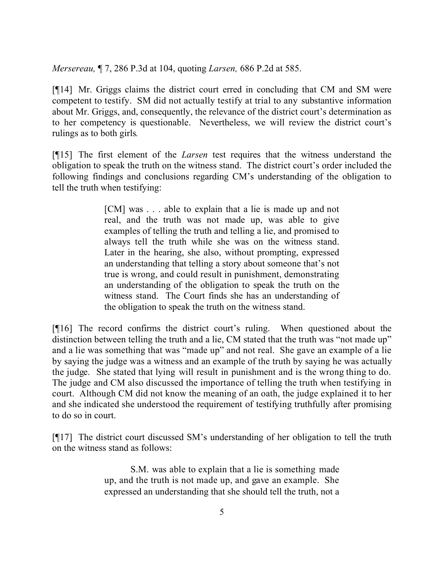*Mersereau,* ¶ 7, 286 P.3d at 104, quoting *Larsen,* 686 P.2d at 585.

[¶14] Mr. Griggs claims the district court erred in concluding that CM and SM were competent to testify. SM did not actually testify at trial to any substantive information about Mr. Griggs, and, consequently, the relevance of the district court's determination as to her competency is questionable. Nevertheless, we will review the district court's rulings as to both girls*.* 

[¶15] The first element of the *Larsen* test requires that the witness understand the obligation to speak the truth on the witness stand. The district court's order included the following findings and conclusions regarding CM's understanding of the obligation to tell the truth when testifying:

> [CM] was . . . able to explain that a lie is made up and not real, and the truth was not made up, was able to give examples of telling the truth and telling a lie, and promised to always tell the truth while she was on the witness stand. Later in the hearing, she also, without prompting, expressed an understanding that telling a story about someone that's not true is wrong, and could result in punishment, demonstrating an understanding of the obligation to speak the truth on the witness stand. The Court finds she has an understanding of the obligation to speak the truth on the witness stand.

[¶16] The record confirms the district court's ruling. When questioned about the distinction between telling the truth and a lie, CM stated that the truth was "not made up" and a lie was something that was "made up" and not real. She gave an example of a lie by saying the judge was a witness and an example of the truth by saying he was actually the judge. She stated that lying will result in punishment and is the wrong thing to do. The judge and CM also discussed the importance of telling the truth when testifying in court. Although CM did not know the meaning of an oath, the judge explained it to her and she indicated she understood the requirement of testifying truthfully after promising to do so in court.

[¶17] The district court discussed SM's understanding of her obligation to tell the truth on the witness stand as follows:

> S.M. was able to explain that a lie is something made up, and the truth is not made up, and gave an example. She expressed an understanding that she should tell the truth, not a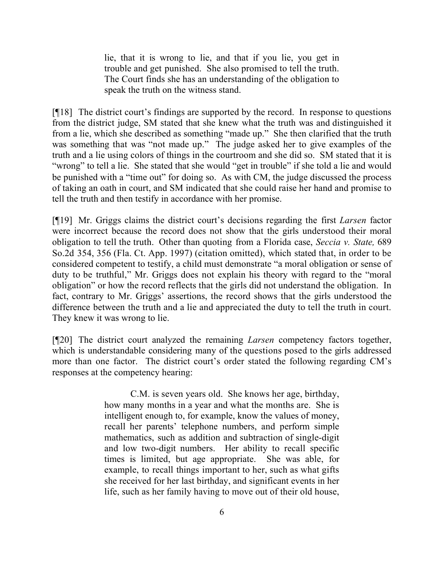lie, that it is wrong to lie, and that if you lie, you get in trouble and get punished. She also promised to tell the truth. The Court finds she has an understanding of the obligation to speak the truth on the witness stand.

[¶18] The district court's findings are supported by the record. In response to questions from the district judge, SM stated that she knew what the truth was and distinguished it from a lie, which she described as something "made up." She then clarified that the truth was something that was "not made up." The judge asked her to give examples of the truth and a lie using colors of things in the courtroom and she did so. SM stated that it is "wrong" to tell a lie. She stated that she would "get in trouble" if she told a lie and would be punished with a "time out" for doing so. As with CM, the judge discussed the process of taking an oath in court, and SM indicated that she could raise her hand and promise to tell the truth and then testify in accordance with her promise.

[¶19] Mr. Griggs claims the district court's decisions regarding the first *Larsen* factor were incorrect because the record does not show that the girls understood their moral obligation to tell the truth. Other than quoting from a Florida case, *Seccia v. State,* 689 So.2d 354, 356 (Fla. Ct. App. 1997) (citation omitted), which stated that, in order to be considered competent to testify, a child must demonstrate "a moral obligation or sense of duty to be truthful," Mr. Griggs does not explain his theory with regard to the "moral obligation" or how the record reflects that the girls did not understand the obligation. In fact, contrary to Mr. Griggs' assertions, the record shows that the girls understood the difference between the truth and a lie and appreciated the duty to tell the truth in court. They knew it was wrong to lie.

[¶20] The district court analyzed the remaining *Larsen* competency factors together, which is understandable considering many of the questions posed to the girls addressed more than one factor. The district court's order stated the following regarding CM's responses at the competency hearing:

> C.M. is seven years old. She knows her age, birthday, how many months in a year and what the months are. She is intelligent enough to, for example, know the values of money, recall her parents' telephone numbers, and perform simple mathematics, such as addition and subtraction of single-digit and low two-digit numbers. Her ability to recall specific times is limited, but age appropriate. She was able, for example, to recall things important to her, such as what gifts she received for her last birthday, and significant events in her life, such as her family having to move out of their old house,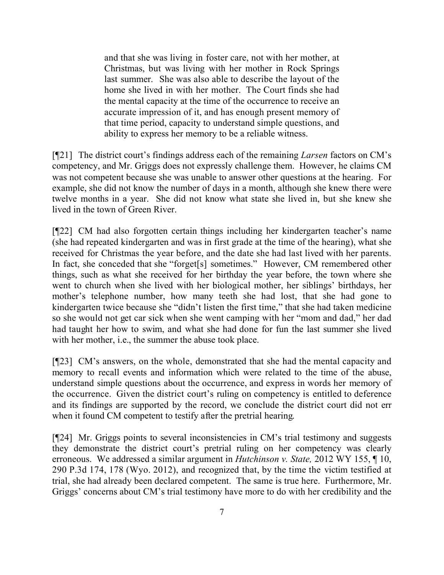and that she was living in foster care, not with her mother, at Christmas, but was living with her mother in Rock Springs last summer. She was also able to describe the layout of the home she lived in with her mother. The Court finds she had the mental capacity at the time of the occurrence to receive an accurate impression of it, and has enough present memory of that time period, capacity to understand simple questions, and ability to express her memory to be a reliable witness.

[¶21] The district court's findings address each of the remaining *Larsen* factors on CM's competency, and Mr. Griggs does not expressly challenge them. However, he claims CM was not competent because she was unable to answer other questions at the hearing. For example, she did not know the number of days in a month, although she knew there were twelve months in a year. She did not know what state she lived in, but she knew she lived in the town of Green River.

[¶22] CM had also forgotten certain things including her kindergarten teacher's name (she had repeated kindergarten and was in first grade at the time of the hearing), what she received for Christmas the year before, and the date she had last lived with her parents. In fact, she conceded that she "forget[s] sometimes." However, CM remembered other things, such as what she received for her birthday the year before, the town where she went to church when she lived with her biological mother, her siblings' birthdays, her mother's telephone number, how many teeth she had lost, that she had gone to kindergarten twice because she "didn't listen the first time," that she had taken medicine so she would not get car sick when she went camping with her "mom and dad," her dad had taught her how to swim, and what she had done for fun the last summer she lived with her mother, i.e., the summer the abuse took place.

[¶23] CM's answers, on the whole, demonstrated that she had the mental capacity and memory to recall events and information which were related to the time of the abuse, understand simple questions about the occurrence, and express in words her memory of the occurrence. Given the district court's ruling on competency is entitled to deference and its findings are supported by the record, we conclude the district court did not err when it found CM competent to testify after the pretrial hearing.

[¶24] Mr. Griggs points to several inconsistencies in CM's trial testimony and suggests they demonstrate the district court's pretrial ruling on her competency was clearly erroneous. We addressed a similar argument in *Hutchinson v. State,* 2012 WY 155, ¶ 10, 290 P.3d 174, 178 (Wyo. 2012), and recognized that, by the time the victim testified at trial, she had already been declared competent. The same is true here. Furthermore, Mr. Griggs' concerns about CM's trial testimony have more to do with her credibility and the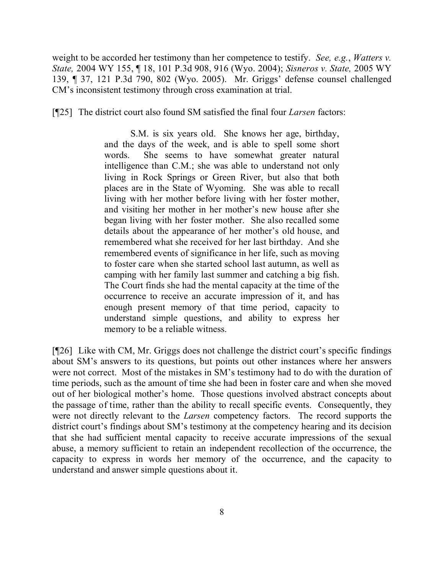weight to be accorded her testimony than her competence to testify. *See, e.g.*, *Watters v. State,* 2004 WY 155, ¶ 18, 101 P.3d 908, 916 (Wyo. 2004); *Sisneros v. State,* 2005 WY 139, ¶ 37, 121 P.3d 790, 802 (Wyo. 2005). Mr. Griggs' defense counsel challenged CM's inconsistent testimony through cross examination at trial.

[¶25] The district court also found SM satisfied the final four *Larsen* factors:

S.M. is six years old. She knows her age, birthday, and the days of the week, and is able to spell some short words. She seems to have somewhat greater natural intelligence than C.M.; she was able to understand not only living in Rock Springs or Green River, but also that both places are in the State of Wyoming. She was able to recall living with her mother before living with her foster mother, and visiting her mother in her mother's new house after she began living with her foster mother. She also recalled some details about the appearance of her mother's old house, and remembered what she received for her last birthday. And she remembered events of significance in her life, such as moving to foster care when she started school last autumn, as well as camping with her family last summer and catching a big fish. The Court finds she had the mental capacity at the time of the occurrence to receive an accurate impression of it, and has enough present memory of that time period, capacity to understand simple questions, and ability to express her memory to be a reliable witness.

[¶26] Like with CM, Mr. Griggs does not challenge the district court's specific findings about SM's answers to its questions, but points out other instances where her answers were not correct. Most of the mistakes in SM's testimony had to do with the duration of time periods, such as the amount of time she had been in foster care and when she moved out of her biological mother's home. Those questions involved abstract concepts about the passage of time, rather than the ability to recall specific events. Consequently, they were not directly relevant to the *Larsen* competency factors. The record supports the district court's findings about SM's testimony at the competency hearing and its decision that she had sufficient mental capacity to receive accurate impressions of the sexual abuse, a memory sufficient to retain an independent recollection of the occurrence, the capacity to express in words her memory of the occurrence, and the capacity to understand and answer simple questions about it.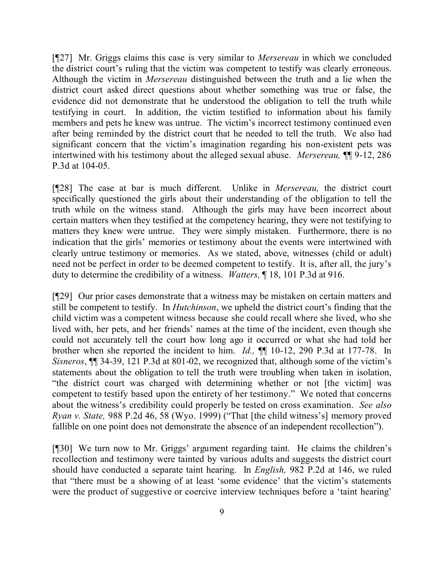[¶27] Mr. Griggs claims this case is very similar to *Mersereau* in which we concluded the district court's ruling that the victim was competent to testify was clearly erroneous. Although the victim in *Mersereau* distinguished between the truth and a lie when the district court asked direct questions about whether something was true or false, the evidence did not demonstrate that he understood the obligation to tell the truth while testifying in court. In addition, the victim testified to information about his family members and pets he knew was untrue. The victim's incorrect testimony continued even after being reminded by the district court that he needed to tell the truth. We also had significant concern that the victim's imagination regarding his non-existent pets was intertwined with his testimony about the alleged sexual abuse. *Mersereau,* ¶¶ 9-12, 286 P.3d at 104-05.

[¶28] The case at bar is much different. Unlike in *Mersereau,* the district court specifically questioned the girls about their understanding of the obligation to tell the truth while on the witness stand. Although the girls may have been incorrect about certain matters when they testified at the competency hearing, they were not testifying to matters they knew were untrue. They were simply mistaken. Furthermore, there is no indication that the girls' memories or testimony about the events were intertwined with clearly untrue testimony or memories. As we stated, above, witnesses (child or adult) need not be perfect in order to be deemed competent to testify. It is, after all, the jury's duty to determine the credibility of a witness. *Watters,* ¶ 18, 101 P.3d at 916.

[¶29] Our prior cases demonstrate that a witness may be mistaken on certain matters and still be competent to testify. In *Hutchinson*, we upheld the district court's finding that the child victim was a competent witness because she could recall where she lived, who she lived with, her pets, and her friends' names at the time of the incident, even though she could not accurately tell the court how long ago it occurred or what she had told her brother when she reported the incident to him. *Id.,* ¶¶ 10-12, 290 P.3d at 177-78. In *Sisneros*, ¶¶ 34-39, 121 P.3d at 801-02, we recognized that, although some of the victim's statements about the obligation to tell the truth were troubling when taken in isolation, "the district court was charged with determining whether or not [the victim] was competent to testify based upon the entirety of her testimony." We noted that concerns about the witness's credibility could properly be tested on cross examination. *See also Ryan v. State,* 988 P.2d 46, 58 (Wyo. 1999) ("That [the child witness's] memory proved fallible on one point does not demonstrate the absence of an independent recollection").

[¶30] We turn now to Mr. Griggs' argument regarding taint. He claims the children's recollection and testimony were tainted by various adults and suggests the district court should have conducted a separate taint hearing. In *English,* 982 P.2d at 146, we ruled that "there must be a showing of at least 'some evidence' that the victim's statements were the product of suggestive or coercive interview techniques before a 'taint hearing'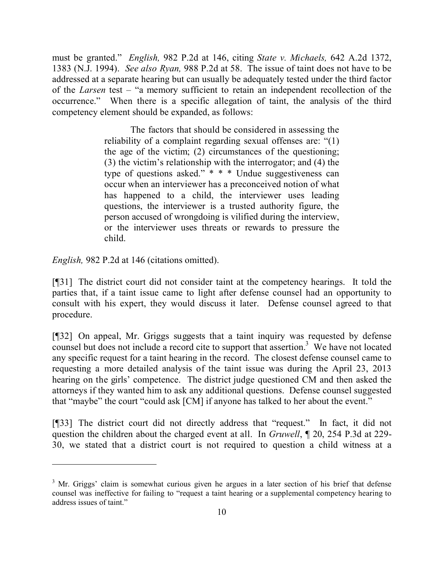must be granted." *English,* 982 P.2d at 146, citing *State v. Michaels,* 642 A.2d 1372, 1383 (N.J. 1994). *See also Ryan,* 988 P.2d at 58. The issue of taint does not have to be addressed at a separate hearing but can usually be adequately tested under the third factor of the *Larsen* test – "a memory sufficient to retain an independent recollection of the occurrence." When there is a specific allegation of taint, the analysis of the third competency element should be expanded, as follows:

> The factors that should be considered in assessing the reliability of a complaint regarding sexual offenses are: "(1) the age of the victim; (2) circumstances of the questioning; (3) the victim's relationship with the interrogator; and (4) the type of questions asked."  $* * *$  Undue suggestiveness can occur when an interviewer has a preconceived notion of what has happened to a child, the interviewer uses leading questions, the interviewer is a trusted authority figure, the person accused of wrongdoing is vilified during the interview, or the interviewer uses threats or rewards to pressure the child.

*English,* 982 P.2d at 146 (citations omitted).

[¶31] The district court did not consider taint at the competency hearings. It told the parties that, if a taint issue came to light after defense counsel had an opportunity to consult with his expert, they would discuss it later. Defense counsel agreed to that procedure.

[¶32] On appeal, Mr. Griggs suggests that a taint inquiry was requested by defense counsel but does not include a record cite to support that assertion.<sup>3</sup> We have not located any specific request for a taint hearing in the record. The closest defense counsel came to requesting a more detailed analysis of the taint issue was during the April 23, 2013 hearing on the girls' competence. The district judge questioned CM and then asked the attorneys if they wanted him to ask any additional questions. Defense counsel suggested that "maybe" the court "could ask [CM] if anyone has talked to her about the event."

[¶33] The district court did not directly address that "request." In fact, it did not question the children about the charged event at all. In *Gruwell*, ¶ 20, 254 P.3d at 229- 30, we stated that a district court is not required to question a child witness at a

<sup>&</sup>lt;sup>3</sup> Mr. Griggs' claim is somewhat curious given he argues in a later section of his brief that defense counsel was ineffective for failing to "request a taint hearing or a supplemental competency hearing to address issues of taint."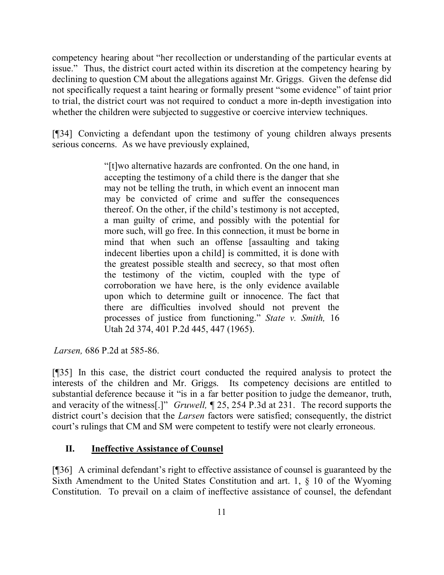competency hearing about "her recollection or understanding of the particular events at issue." Thus, the district court acted within its discretion at the competency hearing by declining to question CM about the allegations against Mr. Griggs. Given the defense did not specifically request a taint hearing or formally present "some evidence" of taint prior to trial, the district court was not required to conduct a more in-depth investigation into whether the children were subjected to suggestive or coercive interview techniques.

[¶34] Convicting a defendant upon the testimony of young children always presents serious concerns. As we have previously explained,

> "[t]wo alternative hazards are confronted. On the one hand, in accepting the testimony of a child there is the danger that she may not be telling the truth, in which event an innocent man may be convicted of crime and suffer the consequences thereof. On the other, if the child's testimony is not accepted, a man guilty of crime, and possibly with the potential for more such, will go free. In this connection, it must be borne in mind that when such an offense [assaulting and taking indecent liberties upon a child is committed, it is done with the greatest possible stealth and secrecy, so that most often the testimony of the victim, coupled with the type of corroboration we have here, is the only evidence available upon which to determine guilt or innocence. The fact that there are difficulties involved should not prevent the processes of justice from functioning." *State v. Smith,* 16 Utah 2d 374, 401 P.2d 445, 447 (1965).

*Larsen,* 686 P.2d at 585-86.

[¶35] In this case, the district court conducted the required analysis to protect the interests of the children and Mr. Griggs. Its competency decisions are entitled to substantial deference because it "is in a far better position to judge the demeanor, truth, and veracity of the witness[.]" *Gruwell,* ¶ 25, 254 P.3d at 231. The record supports the district court's decision that the *Larsen* factors were satisfied; consequently, the district court's rulings that CM and SM were competent to testify were not clearly erroneous.

## **II. Ineffective Assistance of Counsel**

[¶36] A criminal defendant's right to effective assistance of counsel is guaranteed by the Sixth Amendment to the United States Constitution and art. 1, § 10 of the Wyoming Constitution. To prevail on a claim of ineffective assistance of counsel, the defendant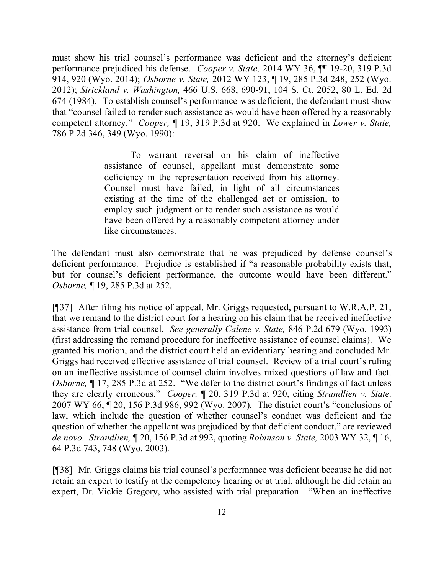must show his trial counsel's performance was deficient and the attorney's deficient performance prejudiced his defense. *Cooper v. State,* 2014 WY 36, ¶¶ 19-20, 319 P.3d 914, 920 (Wyo. 2014); *Osborne v. State,* 2012 WY 123, ¶ 19, 285 P.3d 248, 252 (Wyo. 2012); *Strickland v. Washington,* 466 U.S. 668, 690-91, 104 S. Ct. 2052, 80 L. Ed. 2d 674 (1984). To establish counsel's performance was deficient, the defendant must show that "counsel failed to render such assistance as would have been offered by a reasonably competent attorney." *Cooper,* ¶ 19, 319 P.3d at 920. We explained in *Lower v. State,*  786 P.2d 346, 349 (Wyo. 1990):

> To warrant reversal on his claim of ineffective assistance of counsel, appellant must demonstrate some deficiency in the representation received from his attorney. Counsel must have failed, in light of all circumstances existing at the time of the challenged act or omission, to employ such judgment or to render such assistance as would have been offered by a reasonably competent attorney under like circumstances.

The defendant must also demonstrate that he was prejudiced by defense counsel's deficient performance. Prejudice is established if "a reasonable probability exists that, but for counsel's deficient performance, the outcome would have been different." *Osborne,* ¶ 19, 285 P.3d at 252.

[¶37] After filing his notice of appeal, Mr. Griggs requested, pursuant to W.R.A.P. 21, that we remand to the district court for a hearing on his claim that he received ineffective assistance from trial counsel. *See generally Calene v. State,* 846 P.2d 679 (Wyo. 1993) (first addressing the remand procedure for ineffective assistance of counsel claims). We granted his motion, and the district court held an evidentiary hearing and concluded Mr. Griggs had received effective assistance of trial counsel. Review of a trial court's ruling on an ineffective assistance of counsel claim involves mixed questions of law and fact. *Osborne,* ¶ 17, 285 P.3d at 252. "We defer to the district court's findings of fact unless they are clearly erroneous." *Cooper,* ¶ 20, 319 P.3d at 920, citing *Strandlien v. State,* 2007 WY 66, ¶ 20, 156 P.3d 986, 992 (Wyo. 2007). The district court's "conclusions of law, which include the question of whether counsel's conduct was deficient and the question of whether the appellant was prejudiced by that deficient conduct," are reviewed *de novo. Strandlien,* ¶ 20, 156 P.3d at 992, quoting *Robinson v. State,* 2003 WY 32, ¶ 16, 64 P.3d 743, 748 (Wyo. 2003).

[¶38] Mr. Griggs claims his trial counsel's performance was deficient because he did not retain an expert to testify at the competency hearing or at trial, although he did retain an expert, Dr. Vickie Gregory, who assisted with trial preparation. "When an ineffective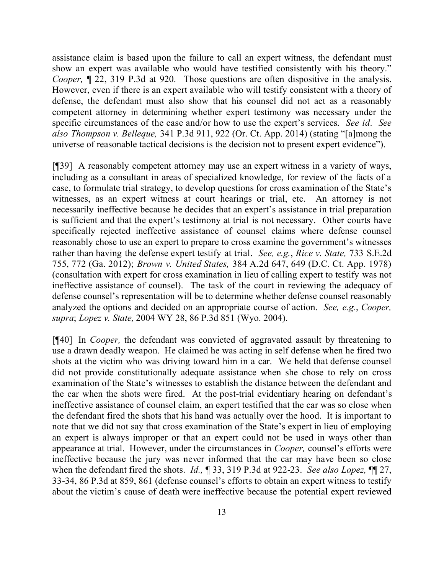assistance claim is based upon the failure to call an expert witness, the defendant must show an expert was available who would have testified consistently with his theory." *Cooper*,  $\parallel$  22, 319 P.3d at 920. Those questions are often dispositive in the analysis. However, even if there is an expert available who will testify consistent with a theory of defense, the defendant must also show that his counsel did not act as a reasonably competent attorney in determining whether expert testimony was necessary under the specific circumstances of the case and/or how to use the expert's services. *See id. See also Thompson v. Belleque,* 341 P.3d 911, 922 (Or. Ct. App. 2014) (stating "[a]mong the universe of reasonable tactical decisions is the decision not to present expert evidence").

[¶39] A reasonably competent attorney may use an expert witness in a variety of ways, including as a consultant in areas of specialized knowledge, for review of the facts of a case, to formulate trial strategy, to develop questions for cross examination of the State's witnesses, as an expert witness at court hearings or trial, etc. An attorney is not necessarily ineffective because he decides that an expert's assistance in trial preparation is sufficient and that the expert's testimony at trial is not necessary. Other courts have specifically rejected ineffective assistance of counsel claims where defense counsel reasonably chose to use an expert to prepare to cross examine the government's witnesses rather than having the defense expert testify at trial. *See, e.g.*, *Rice v. State,* 733 S.E.2d 755, 772 (Ga. 2012); *Brown v. United States,* 384 A.2d 647, 649 (D.C. Ct. App. 1978) (consultation with expert for cross examination in lieu of calling expert to testify was not ineffective assistance of counsel). The task of the court in reviewing the adequacy of defense counsel's representation will be to determine whether defense counsel reasonably analyzed the options and decided on an appropriate course of action. *See, e.g.*, *Cooper, supra*; *Lopez v. State,* 2004 WY 28, 86 P.3d 851 (Wyo. 2004).

[¶40] In *Cooper,* the defendant was convicted of aggravated assault by threatening to use a drawn deadly weapon. He claimed he was acting in self defense when he fired two shots at the victim who was driving toward him in a car. We held that defense counsel did not provide constitutionally adequate assistance when she chose to rely on cross examination of the State's witnesses to establish the distance between the defendant and the car when the shots were fired. At the post-trial evidentiary hearing on defendant's ineffective assistance of counsel claim, an expert testified that the car was so close when the defendant fired the shots that his hand was actually over the hood. It is important to note that we did not say that cross examination of the State's expert in lieu of employing an expert is always improper or that an expert could not be used in ways other than appearance at trial. However, under the circumstances in *Cooper,* counsel's efforts were ineffective because the jury was never informed that the car may have been so close when the defendant fired the shots. *Id.,* ¶ 33, 319 P.3d at 922-23. *See also Lopez,* ¶¶ 27, 33-34, 86 P.3d at 859, 861 (defense counsel's efforts to obtain an expert witness to testify about the victim's cause of death were ineffective because the potential expert reviewed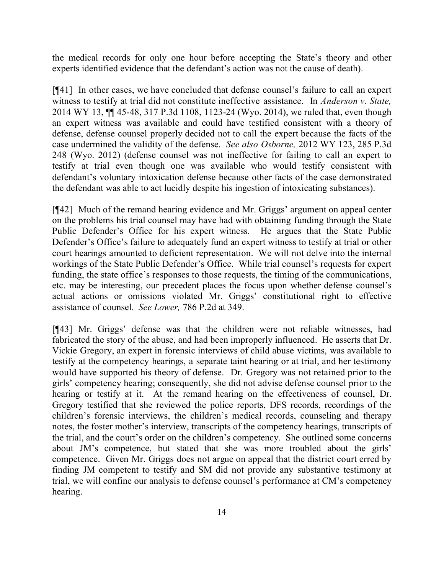the medical records for only one hour before accepting the State's theory and other experts identified evidence that the defendant's action was not the cause of death).

[¶41] In other cases, we have concluded that defense counsel's failure to call an expert witness to testify at trial did not constitute ineffective assistance. In *Anderson v. State,*  2014 WY 13, ¶¶ 45-48, 317 P.3d 1108, 1123-24 (Wyo. 2014), we ruled that, even though an expert witness was available and could have testified consistent with a theory of defense, defense counsel properly decided not to call the expert because the facts of the case undermined the validity of the defense. *See also Osborne,* 2012 WY 123, 285 P.3d 248 (Wyo. 2012) (defense counsel was not ineffective for failing to call an expert to testify at trial even though one was available who would testify consistent with defendant's voluntary intoxication defense because other facts of the case demonstrated the defendant was able to act lucidly despite his ingestion of intoxicating substances).

[¶42] Much of the remand hearing evidence and Mr. Griggs' argument on appeal center on the problems his trial counsel may have had with obtaining funding through the State Public Defender's Office for his expert witness. He argues that the State Public Defender's Office's failure to adequately fund an expert witness to testify at trial or other court hearings amounted to deficient representation. We will not delve into the internal workings of the State Public Defender's Office. While trial counsel's requests for expert funding, the state office's responses to those requests, the timing of the communications, etc. may be interesting, our precedent places the focus upon whether defense counsel's actual actions or omissions violated Mr. Griggs' constitutional right to effective assistance of counsel. *See Lower,* 786 P.2d at 349.

[¶43] Mr. Griggs' defense was that the children were not reliable witnesses, had fabricated the story of the abuse, and had been improperly influenced. He asserts that Dr. Vickie Gregory, an expert in forensic interviews of child abuse victims, was available to testify at the competency hearings, a separate taint hearing or at trial, and her testimony would have supported his theory of defense. Dr. Gregory was not retained prior to the girls' competency hearing; consequently, she did not advise defense counsel prior to the hearing or testify at it. At the remand hearing on the effectiveness of counsel, Dr. Gregory testified that she reviewed the police reports, DFS records, recordings of the children's forensic interviews, the children's medical records, counseling and therapy notes, the foster mother's interview, transcripts of the competency hearings, transcripts of the trial, and the court's order on the children's competency. She outlined some concerns about JM's competence, but stated that she was more troubled about the girls' competence. Given Mr. Griggs does not argue on appeal that the district court erred by finding JM competent to testify and SM did not provide any substantive testimony at trial, we will confine our analysis to defense counsel's performance at CM's competency hearing.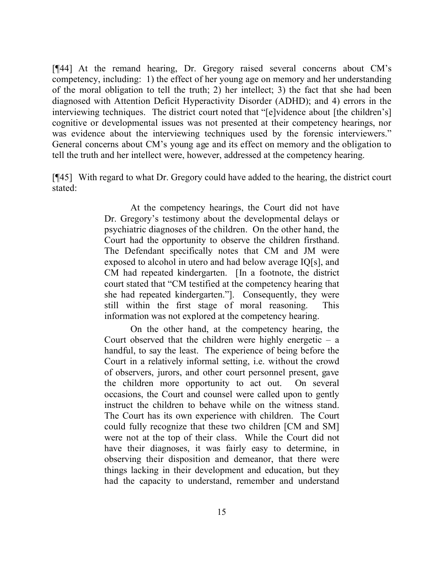[¶44] At the remand hearing, Dr. Gregory raised several concerns about CM's competency, including: 1) the effect of her young age on memory and her understanding of the moral obligation to tell the truth; 2) her intellect; 3) the fact that she had been diagnosed with Attention Deficit Hyperactivity Disorder (ADHD); and 4) errors in the interviewing techniques. The district court noted that "[e]vidence about [the children's] cognitive or developmental issues was not presented at their competency hearings, nor was evidence about the interviewing techniques used by the forensic interviewers." General concerns about CM's young age and its effect on memory and the obligation to tell the truth and her intellect were, however, addressed at the competency hearing.

[¶45] With regard to what Dr. Gregory could have added to the hearing, the district court stated:

> At the competency hearings, the Court did not have Dr. Gregory's testimony about the developmental delays or psychiatric diagnoses of the children. On the other hand, the Court had the opportunity to observe the children firsthand. The Defendant specifically notes that CM and JM were exposed to alcohol in utero and had below average IQ[s], and CM had repeated kindergarten. [In a footnote, the district court stated that "CM testified at the competency hearing that she had repeated kindergarten."]. Consequently, they were still within the first stage of moral reasoning. This information was not explored at the competency hearing.

> On the other hand, at the competency hearing, the Court observed that the children were highly energetic  $-$  a handful, to say the least. The experience of being before the Court in a relatively informal setting, i.e. without the crowd of observers, jurors, and other court personnel present, gave the children more opportunity to act out. On several occasions, the Court and counsel were called upon to gently instruct the children to behave while on the witness stand. The Court has its own experience with children. The Court could fully recognize that these two children [CM and SM] were not at the top of their class. While the Court did not have their diagnoses, it was fairly easy to determine, in observing their disposition and demeanor, that there were things lacking in their development and education, but they had the capacity to understand, remember and understand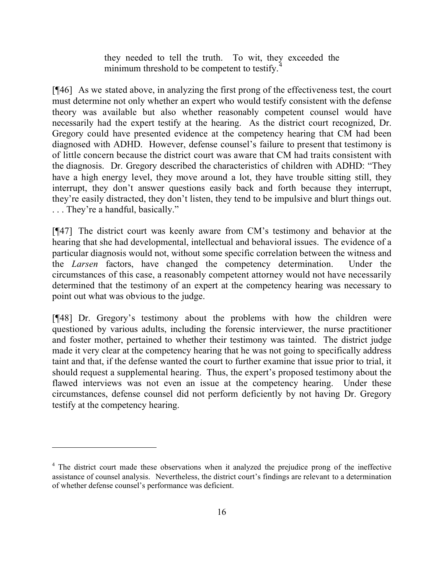they needed to tell the truth. To wit, they exceeded the minimum threshold to be competent to testify.

[¶46] As we stated above, in analyzing the first prong of the effectiveness test, the court must determine not only whether an expert who would testify consistent with the defense theory was available but also whether reasonably competent counsel would have necessarily had the expert testify at the hearing. As the district court recognized, Dr. Gregory could have presented evidence at the competency hearing that CM had been diagnosed with ADHD. However, defense counsel's failure to present that testimony is of little concern because the district court was aware that CM had traits consistent with the diagnosis. Dr. Gregory described the characteristics of children with ADHD: "They have a high energy level, they move around a lot, they have trouble sitting still, they interrupt, they don't answer questions easily back and forth because they interrupt, they're easily distracted, they don't listen, they tend to be impulsive and blurt things out. . . . They're a handful, basically."

[¶47] The district court was keenly aware from CM's testimony and behavior at the hearing that she had developmental, intellectual and behavioral issues. The evidence of a particular diagnosis would not, without some specific correlation between the witness and the *Larsen* factors, have changed the competency determination. Under the circumstances of this case, a reasonably competent attorney would not have necessarily determined that the testimony of an expert at the competency hearing was necessary to point out what was obvious to the judge.

[¶48] Dr. Gregory's testimony about the problems with how the children were questioned by various adults, including the forensic interviewer, the nurse practitioner and foster mother, pertained to whether their testimony was tainted. The district judge made it very clear at the competency hearing that he was not going to specifically address taint and that, if the defense wanted the court to further examine that issue prior to trial, it should request a supplemental hearing. Thus, the expert's proposed testimony about the flawed interviews was not even an issue at the competency hearing. Under these circumstances, defense counsel did not perform deficiently by not having Dr. Gregory testify at the competency hearing.

<sup>&</sup>lt;sup>4</sup> The district court made these observations when it analyzed the prejudice prong of the ineffective assistance of counsel analysis. Nevertheless, the district court's findings are relevant to a determination of whether defense counsel's performance was deficient.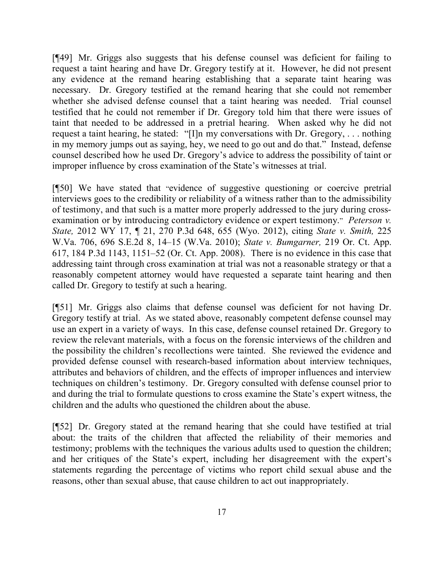[¶49] Mr. Griggs also suggests that his defense counsel was deficient for failing to request a taint hearing and have Dr. Gregory testify at it. However, he did not present any evidence at the remand hearing establishing that a separate taint hearing was necessary. Dr. Gregory testified at the remand hearing that she could not remember whether she advised defense counsel that a taint hearing was needed. Trial counsel testified that he could not remember if Dr. Gregory told him that there were issues of taint that needed to be addressed in a pretrial hearing. When asked why he did not request a taint hearing, he stated: "[I]n my conversations with Dr. Gregory, . . . nothing in my memory jumps out as saying, hey, we need to go out and do that." Instead, defense counsel described how he used Dr. Gregory's advice to address the possibility of taint or improper influence by cross examination of the State's witnesses at trial.

[¶50] We have stated that "evidence of suggestive questioning or coercive pretrial interviews goes to the credibility or reliability of a witness rather than to the admissibility of testimony, and that such is a matter more properly addressed to the jury during crossexamination or by introducing contradictory evidence or expert testimony." *Peterson v. State,* 2012 WY 17, ¶ 21, 270 P.3d 648, 655 (Wyo. 2012), citing *State v. Smith,* 225 W.Va. 706, 696 S.E.2d 8, 14–15 (W.Va. 2010); *State v. Bumgarner,* 219 Or. Ct. App. 617, 184 P.3d 1143, 1151–52 (Or. Ct. App. 2008). There is no evidence in this case that addressing taint through cross examination at trial was not a reasonable strategy or that a reasonably competent attorney would have requested a separate taint hearing and then called Dr. Gregory to testify at such a hearing.

[¶51] Mr. Griggs also claims that defense counsel was deficient for not having Dr. Gregory testify at trial. As we stated above, reasonably competent defense counsel may use an expert in a variety of ways. In this case, defense counsel retained Dr. Gregory to review the relevant materials, with a focus on the forensic interviews of the children and the possibility the children's recollections were tainted. She reviewed the evidence and provided defense counsel with research-based information about interview techniques, attributes and behaviors of children, and the effects of improper influences and interview techniques on children's testimony. Dr. Gregory consulted with defense counsel prior to and during the trial to formulate questions to cross examine the State's expert witness, the children and the adults who questioned the children about the abuse.

[¶52] Dr. Gregory stated at the remand hearing that she could have testified at trial about: the traits of the children that affected the reliability of their memories and testimony; problems with the techniques the various adults used to question the children; and her critiques of the State's expert, including her disagreement with the expert's statements regarding the percentage of victims who report child sexual abuse and the reasons, other than sexual abuse, that cause children to act out inappropriately.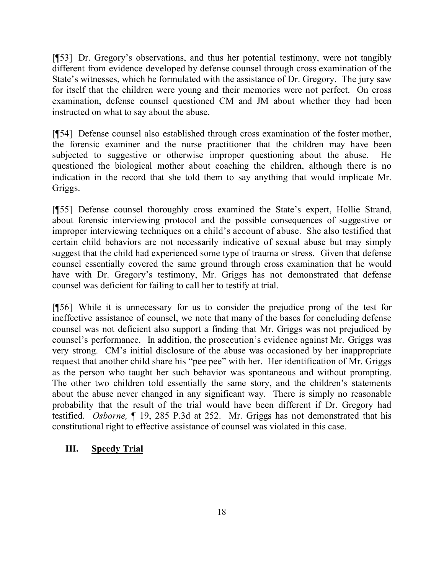[¶53] Dr. Gregory's observations, and thus her potential testimony, were not tangibly different from evidence developed by defense counsel through cross examination of the State's witnesses, which he formulated with the assistance of Dr. Gregory. The jury saw for itself that the children were young and their memories were not perfect. On cross examination, defense counsel questioned CM and JM about whether they had been instructed on what to say about the abuse.

[¶54] Defense counsel also established through cross examination of the foster mother, the forensic examiner and the nurse practitioner that the children may have been subjected to suggestive or otherwise improper questioning about the abuse. He questioned the biological mother about coaching the children, although there is no indication in the record that she told them to say anything that would implicate Mr. Griggs.

[¶55] Defense counsel thoroughly cross examined the State's expert, Hollie Strand, about forensic interviewing protocol and the possible consequences of suggestive or improper interviewing techniques on a child's account of abuse. She also testified that certain child behaviors are not necessarily indicative of sexual abuse but may simply suggest that the child had experienced some type of trauma or stress. Given that defense counsel essentially covered the same ground through cross examination that he would have with Dr. Gregory's testimony, Mr. Griggs has not demonstrated that defense counsel was deficient for failing to call her to testify at trial.

[¶56] While it is unnecessary for us to consider the prejudice prong of the test for ineffective assistance of counsel, we note that many of the bases for concluding defense counsel was not deficient also support a finding that Mr. Griggs was not prejudiced by counsel's performance. In addition, the prosecution's evidence against Mr. Griggs was very strong. CM's initial disclosure of the abuse was occasioned by her inappropriate request that another child share his "pee pee" with her. Her identification of Mr. Griggs as the person who taught her such behavior was spontaneous and without prompting. The other two children told essentially the same story, and the children's statements about the abuse never changed in any significant way. There is simply no reasonable probability that the result of the trial would have been different if Dr. Gregory had testified. *Osborne,* ¶ 19, 285 P.3d at 252. Mr. Griggs has not demonstrated that his constitutional right to effective assistance of counsel was violated in this case.

## **III. Speedy Trial**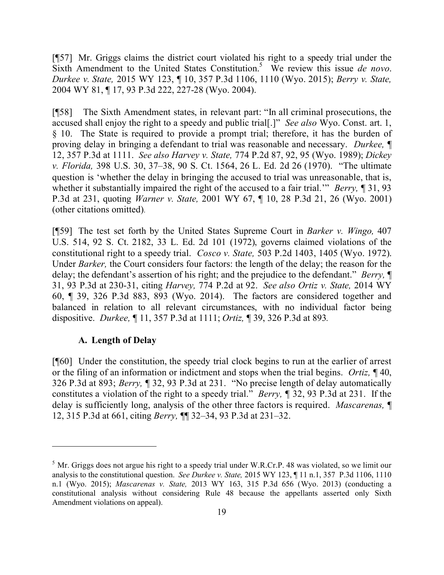[¶57] Mr. Griggs claims the district court violated his right to a speedy trial under the Sixth Amendment to the United States Constitution.<sup>5</sup> We review this issue *de novo*. *Durkee v. State,* 2015 WY 123, ¶ 10, 357 P.3d 1106, 1110 (Wyo. 2015); *Berry v. State,*  2004 WY 81, ¶ 17, 93 P.3d 222, 227-28 (Wyo. 2004).

[¶58]The Sixth Amendment states, in relevant part: "In all criminal prosecutions, the accused shall enjoy the right to a speedy and public trial[.]" *See also* Wyo. Const. art. 1, § 10. The State is required to provide a prompt trial; therefore, it has the burden of proving delay in bringing a defendant to trial was reasonable and necessary. *Durkee,* ¶ 12, 357 P.3d at 1111. *See also Harvey v. State,* 774 P.2d 87, 92, 95 (Wyo. 1989); *Dickey v. Florida,* 398 U.S. 30, 37–38, 90 S. Ct. 1564, 26 L. Ed. 2d 26 (1970). "The ultimate question is 'whether the delay in bringing the accused to trial was unreasonable, that is, whether it substantially impaired the right of the accused to a fair trial.'" *Berry,* ¶ 31, 93 P.3d at 231, quoting *Warner v. State,* 2001 WY 67, ¶ 10, 28 P.3d 21, 26 (Wyo. 2001) (other citations omitted).

[¶59] The test set forth by the United States Supreme Court in *Barker v. Wingo,* 407 U.S. 514, 92 S. Ct. 2182, 33 L. Ed. 2d 101 (1972), governs claimed violations of the constitutional right to a speedy trial. *Cosco v. State,* 503 P.2d 1403, 1405 (Wyo. 1972). Under *Barker,* the Court considers four factors: the length of the delay; the reason for the delay; the defendant's assertion of his right; and the prejudice to the defendant." *Berry,* ¶ 31, 93 P.3d at 230-31, citing *Harvey,* 774 P.2d at 92. *See also Ortiz v. State,* 2014 WY 60, ¶ 39, 326 P.3d 883, 893 (Wyo. 2014). The factors are considered together and balanced in relation to all relevant circumstances, with no individual factor being dispositive. *Durkee,* ¶ 11, 357 P.3d at 1111; *Ortiz,* ¶ 39, 326 P.3d at 893*.*

#### **A. Length of Delay**

[¶60] Under the constitution, the speedy trial clock begins to run at the earlier of arrest or the filing of an information or indictment and stops when the trial begins. *Ortiz,* ¶ 40, 326 P.3d at 893; *Berry,* ¶ 32, 93 P.3d at 231. "No precise length of delay automatically constitutes a violation of the right to a speedy trial." *Berry, ¶* 32, 93 P.3d at 231. If the delay is sufficiently long, analysis of the other three factors is required. *Mascarenas,* ¶ 12, 315 P.3d at 661, citing *Berry,* ¶¶ 32–34, 93 P.3d at 231–32.

<sup>&</sup>lt;sup>5</sup> Mr. Griggs does not argue his right to a speedy trial under W.R.Cr.P. 48 was violated, so we limit our analysis to the constitutional question. *See Durkee v. State,* 2015 WY 123, ¶ 11 n.1, 357 P.3d 1106, 1110 n.1 (Wyo. 2015); *Mascarenas v. State,* 2013 WY 163, 315 P.3d 656 (Wyo. 2013) (conducting a constitutional analysis without considering Rule 48 because the appellants asserted only Sixth Amendment violations on appeal).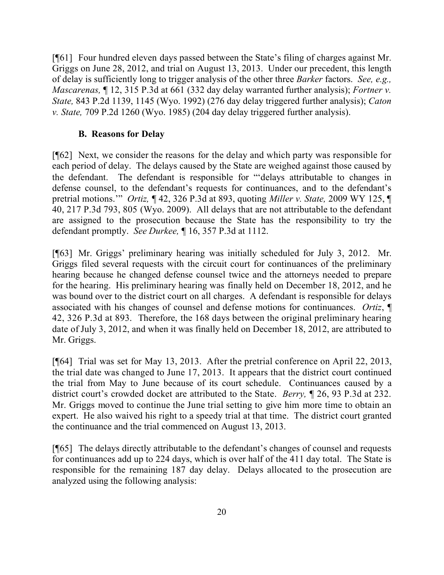[¶61] Four hundred eleven days passed between the State's filing of charges against Mr. Griggs on June 28, 2012, and trial on August 13, 2013. Under our precedent, this length of delay is sufficiently long to trigger analysis of the other three *Barker* factors. *See, e.g., Mascarenas,* ¶ 12, 315 P.3d at 661 (332 day delay warranted further analysis); *Fortner v. State,* 843 P.2d 1139, 1145 (Wyo. 1992) (276 day delay triggered further analysis); *Caton v. State,* 709 P.2d 1260 (Wyo. 1985) (204 day delay triggered further analysis).

#### **B. Reasons for Delay**

[¶62] Next, we consider the reasons for the delay and which party was responsible for each period of delay. The delays caused by the State are weighed against those caused by the defendant. The defendant is responsible for "'delays attributable to changes in defense counsel, to the defendant's requests for continuances, and to the defendant's pretrial motions.'" *Ortiz,* ¶ 42, 326 P.3d at 893, quoting *Miller v. State,* 2009 WY 125, ¶ 40, 217 P.3d 793, 805 (Wyo. 2009). All delays that are not attributable to the defendant are assigned to the prosecution because the State has the responsibility to try the defendant promptly. *See Durkee,* ¶ 16, 357 P.3d at 1112.

[¶63] Mr. Griggs' preliminary hearing was initially scheduled for July 3, 2012. Mr. Griggs filed several requests with the circuit court for continuances of the preliminary hearing because he changed defense counsel twice and the attorneys needed to prepare for the hearing. His preliminary hearing was finally held on December 18, 2012, and he was bound over to the district court on all charges. A defendant is responsible for delays associated with his changes of counsel and defense motions for continuances. *Ortiz*, ¶ 42, 326 P.3d at 893. Therefore, the 168 days between the original preliminary hearing date of July 3, 2012, and when it was finally held on December 18, 2012, are attributed to Mr. Griggs.

[¶64] Trial was set for May 13, 2013. After the pretrial conference on April 22, 2013, the trial date was changed to June 17, 2013. It appears that the district court continued the trial from May to June because of its court schedule. Continuances caused by a district court's crowded docket are attributed to the State. *Berry,* ¶ 26, 93 P.3d at 232. Mr. Griggs moved to continue the June trial setting to give him more time to obtain an expert. He also waived his right to a speedy trial at that time. The district court granted the continuance and the trial commenced on August 13, 2013.

[¶65] The delays directly attributable to the defendant's changes of counsel and requests for continuances add up to 224 days, which is over half of the 411 day total. The State is responsible for the remaining 187 day delay. Delays allocated to the prosecution are analyzed using the following analysis: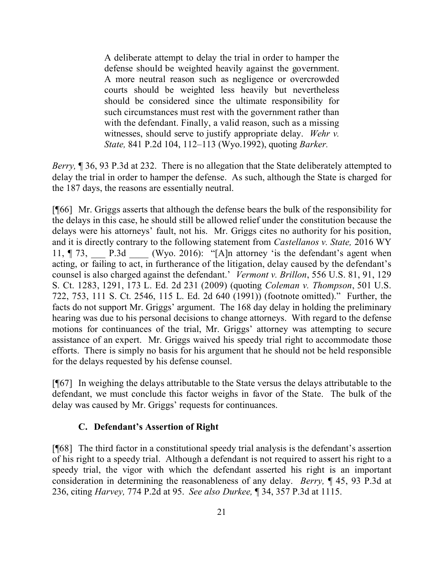A deliberate attempt to delay the trial in order to hamper the defense should be weighted heavily against the government. A more neutral reason such as negligence or overcrowded courts should be weighted less heavily but nevertheless should be considered since the ultimate responsibility for such circumstances must rest with the government rather than with the defendant. Finally, a valid reason, such as a missing witnesses, should serve to justify appropriate delay. *Wehr v. State,* 841 P.2d 104, 112–113 (Wyo.1992), quoting *Barker.*

*Berry*,  $\sqrt{ }$  36, 93 P.3d at 232. There is no allegation that the State deliberately attempted to delay the trial in order to hamper the defense. As such, although the State is charged for the 187 days, the reasons are essentially neutral.

[¶66] Mr. Griggs asserts that although the defense bears the bulk of the responsibility for the delays in this case, he should still be allowed relief under the constitution because the delays were his attorneys' fault, not his. Mr. Griggs cites no authority for his position, and it is directly contrary to the following statement from *Castellanos v. State,* 2016 WY 11,  $\P$  73, P.3d (Wyo. 2016): "[A]n attorney 'is the defendant's agent when acting, or failing to act, in furtherance of the litigation, delay caused by the defendant's counsel is also charged against the defendant.' *Vermont v. Brillon*, 556 U.S. 81, 91, 129 S. Ct. 1283, 1291, 173 L. Ed. 2d 231 (2009) (quoting *Coleman v. Thompson*, 501 U.S. 722, 753, 111 S. Ct. 2546, 115 L. Ed. 2d 640 (1991)) (footnote omitted)." Further, the facts do not support Mr. Griggs' argument. The 168 day delay in holding the preliminary hearing was due to his personal decisions to change attorneys. With regard to the defense motions for continuances of the trial, Mr. Griggs' attorney was attempting to secure assistance of an expert. Mr. Griggs waived his speedy trial right to accommodate those efforts. There is simply no basis for his argument that he should not be held responsible for the delays requested by his defense counsel.

[¶67] In weighing the delays attributable to the State versus the delays attributable to the defendant, we must conclude this factor weighs in favor of the State. The bulk of the delay was caused by Mr. Griggs' requests for continuances.

## **C. Defendant's Assertion of Right**

[¶68] The third factor in a constitutional speedy trial analysis is the defendant's assertion of his right to a speedy trial. Although a defendant is not required to assert his right to a speedy trial, the vigor with which the defendant asserted his right is an important consideration in determining the reasonableness of any delay. *Berry,* ¶ 45, 93 P.3d at 236, citing *Harvey,* 774 P.2d at 95. *See also Durkee,* ¶ 34, 357 P.3d at 1115.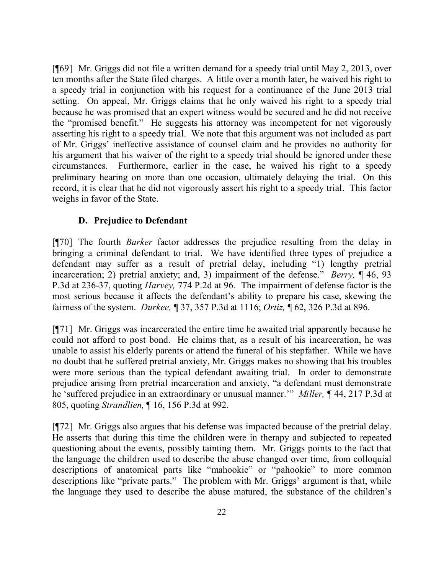[¶69] Mr. Griggs did not file a written demand for a speedy trial until May 2, 2013, over ten months after the State filed charges. A little over a month later, he waived his right to a speedy trial in conjunction with his request for a continuance of the June 2013 trial setting. On appeal, Mr. Griggs claims that he only waived his right to a speedy trial because he was promised that an expert witness would be secured and he did not receive the "promised benefit." He suggests his attorney was incompetent for not vigorously asserting his right to a speedy trial. We note that this argument was not included as part of Mr. Griggs' ineffective assistance of counsel claim and he provides no authority for his argument that his waiver of the right to a speedy trial should be ignored under these circumstances. Furthermore, earlier in the case, he waived his right to a speedy preliminary hearing on more than one occasion, ultimately delaying the trial. On this record, it is clear that he did not vigorously assert his right to a speedy trial. This factor weighs in favor of the State.

## **D. Prejudice to Defendant**

[¶70] The fourth *Barker* factor addresses the prejudice resulting from the delay in bringing a criminal defendant to trial. We have identified three types of prejudice a defendant may suffer as a result of pretrial delay, including "1) lengthy pretrial incarceration; 2) pretrial anxiety; and, 3) impairment of the defense." *Berry,* ¶ 46, 93 P.3d at 236-37, quoting *Harvey,* 774 P.2d at 96. The impairment of defense factor is the most serious because it affects the defendant's ability to prepare his case, skewing the fairness of the system. *Durkee,* ¶ 37, 357 P.3d at 1116; *Ortiz,* ¶ 62, 326 P.3d at 896.

[¶71] Mr. Griggs was incarcerated the entire time he awaited trial apparently because he could not afford to post bond. He claims that, as a result of his incarceration, he was unable to assist his elderly parents or attend the funeral of his stepfather. While we have no doubt that he suffered pretrial anxiety, Mr. Griggs makes no showing that his troubles were more serious than the typical defendant awaiting trial. In order to demonstrate prejudice arising from pretrial incarceration and anxiety, "a defendant must demonstrate he 'suffered prejudice in an extraordinary or unusual manner.'" *Miller,* ¶ 44, 217 P.3d at 805, quoting *Strandlien,* ¶ 16, 156 P.3d at 992.

[¶72] Mr. Griggs also argues that his defense was impacted because of the pretrial delay. He asserts that during this time the children were in therapy and subjected to repeated questioning about the events, possibly tainting them. Mr. Griggs points to the fact that the language the children used to describe the abuse changed over time, from colloquial descriptions of anatomical parts like "mahookie" or "pahookie" to more common descriptions like "private parts." The problem with Mr. Griggs' argument is that, while the language they used to describe the abuse matured, the substance of the children's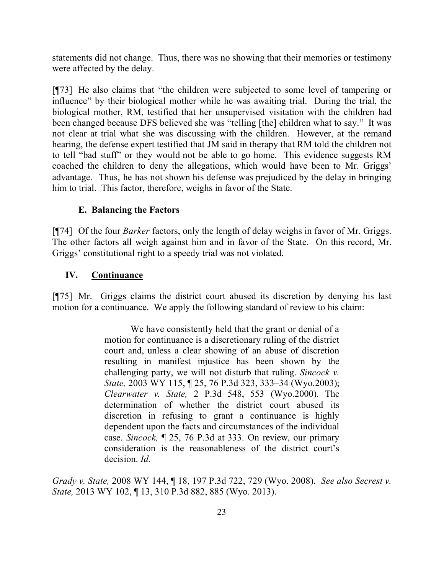statements did not change. Thus, there was no showing that their memories or testimony were affected by the delay.

[¶73] He also claims that "the children were subjected to some level of tampering or influence" by their biological mother while he was awaiting trial. During the trial, the biological mother, RM, testified that her unsupervised visitation with the children had been changed because DFS believed she was "telling [the] children what to say." It was not clear at trial what she was discussing with the children. However, at the remand hearing, the defense expert testified that JM said in therapy that RM told the children not to tell "bad stuff" or they would not be able to go home. This evidence suggests RM coached the children to deny the allegations, which would have been to Mr. Griggs' advantage. Thus, he has not shown his defense was prejudiced by the delay in bringing him to trial. This factor, therefore, weighs in favor of the State.

#### **E. Balancing the Factors**

[¶74] Of the four *Barker* factors, only the length of delay weighs in favor of Mr. Griggs. The other factors all weigh against him and in favor of the State. On this record, Mr. Griggs' constitutional right to a speedy trial was not violated.

#### **IV. Continuance**

[¶75] Mr. Griggs claims the district court abused its discretion by denying his last motion for a continuance. We apply the following standard of review to his claim:

> We have consistently held that the grant or denial of a motion for continuance is a discretionary ruling of the district court and, unless a clear showing of an abuse of discretion resulting in manifest injustice has been shown by the challenging party, we will not disturb that ruling. *Sincock v. State,* 2003 WY 115, ¶ 25, 76 P.3d 323, 333–34 (Wyo.2003); *Clearwater v. State,* 2 P.3d 548, 553 (Wyo.2000). The determination of whether the district court abused its discretion in refusing to grant a continuance is highly dependent upon the facts and circumstances of the individual case. *Sincock,* ¶ 25, 76 P.3d at 333. On review, our primary consideration is the reasonableness of the district court's decision. *Id.*

*Grady v. State,* 2008 WY 144, ¶ 18, 197 P.3d 722, 729 (Wyo. 2008). *See also Secrest v. State,* 2013 WY 102, ¶ 13, 310 P.3d 882, 885 (Wyo. 2013).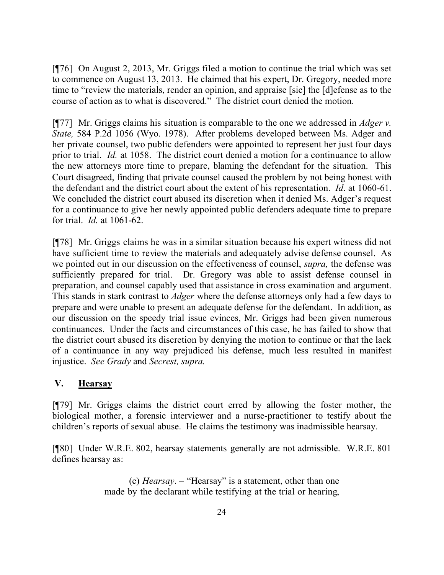[¶76] On August 2, 2013, Mr. Griggs filed a motion to continue the trial which was set to commence on August 13, 2013. He claimed that his expert, Dr. Gregory, needed more time to "review the materials, render an opinion, and appraise [sic] the [d]efense as to the course of action as to what is discovered." The district court denied the motion.

[¶77] Mr. Griggs claims his situation is comparable to the one we addressed in *Adger v. State,* 584 P.2d 1056 (Wyo. 1978). After problems developed between Ms. Adger and her private counsel, two public defenders were appointed to represent her just four days prior to trial. *Id.* at 1058. The district court denied a motion for a continuance to allow the new attorneys more time to prepare, blaming the defendant for the situation. This Court disagreed, finding that private counsel caused the problem by not being honest with the defendant and the district court about the extent of his representation. *Id*. at 1060-61. We concluded the district court abused its discretion when it denied Ms. Adger's request for a continuance to give her newly appointed public defenders adequate time to prepare for trial. *Id.* at 1061-62.

[¶78] Mr. Griggs claims he was in a similar situation because his expert witness did not have sufficient time to review the materials and adequately advise defense counsel. As we pointed out in our discussion on the effectiveness of counsel, *supra,* the defense was sufficiently prepared for trial. Dr. Gregory was able to assist defense counsel in preparation, and counsel capably used that assistance in cross examination and argument. This stands in stark contrast to *Adger* where the defense attorneys only had a few days to prepare and were unable to present an adequate defense for the defendant. In addition, as our discussion on the speedy trial issue evinces, Mr. Griggs had been given numerous continuances. Under the facts and circumstances of this case, he has failed to show that the district court abused its discretion by denying the motion to continue or that the lack of a continuance in any way prejudiced his defense, much less resulted in manifest injustice. *See Grady* and *Secrest, supra.*

## **V. Hearsay**

[¶79] Mr. Griggs claims the district court erred by allowing the foster mother, the biological mother, a forensic interviewer and a nurse-practitioner to testify about the children's reports of sexual abuse. He claims the testimony was inadmissible hearsay.

[¶80] Under W.R.E. 802, hearsay statements generally are not admissible. W.R.E. 801 defines hearsay as:

> (c) *Hearsay*. – "Hearsay" is a statement, other than one made by the declarant while testifying at the trial or hearing,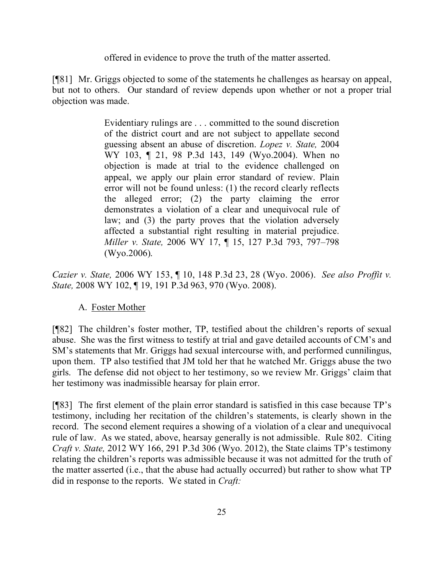offered in evidence to prove the truth of the matter asserted.

[¶81] Mr. Griggs objected to some of the statements he challenges as hearsay on appeal, but not to others. Our standard of review depends upon whether or not a proper trial objection was made.

> Evidentiary rulings are . . . committed to the sound discretion of the district court and are not subject to appellate second guessing absent an abuse of discretion. *Lopez v. State,* 2004 WY 103, ¶ 21, 98 P.3d 143, 149 (Wyo.2004). When no objection is made at trial to the evidence challenged on appeal, we apply our plain error standard of review. Plain error will not be found unless: (1) the record clearly reflects the alleged error; (2) the party claiming the error demonstrates a violation of a clear and unequivocal rule of law; and (3) the party proves that the violation adversely affected a substantial right resulting in material prejudice. *Miller v. State,* 2006 WY 17, ¶ 15, 127 P.3d 793, 797–798 (Wyo.2006).

*Cazier v. State,* 2006 WY 153, ¶ 10, 148 P.3d 23, 28 (Wyo. 2006). *See also Proffit v. State,* 2008 WY 102, ¶ 19, 191 P.3d 963, 970 (Wyo. 2008).

#### A. Foster Mother

[¶82] The children's foster mother, TP, testified about the children's reports of sexual abuse. She was the first witness to testify at trial and gave detailed accounts of CM's and SM's statements that Mr. Griggs had sexual intercourse with, and performed cunnilingus, upon them. TP also testified that JM told her that he watched Mr. Griggs abuse the two girls. The defense did not object to her testimony, so we review Mr. Griggs' claim that her testimony was inadmissible hearsay for plain error.

[¶83] The first element of the plain error standard is satisfied in this case because TP's testimony, including her recitation of the children's statements, is clearly shown in the record. The second element requires a showing of a violation of a clear and unequivocal rule of law. As we stated, above, hearsay generally is not admissible. Rule 802. Citing *Craft v. State,* 2012 WY 166, 291 P.3d 306 (Wyo. 2012), the State claims TP's testimony relating the children's reports was admissible because it was not admitted for the truth of the matter asserted (i.e., that the abuse had actually occurred) but rather to show what TP did in response to the reports. We stated in *Craft:*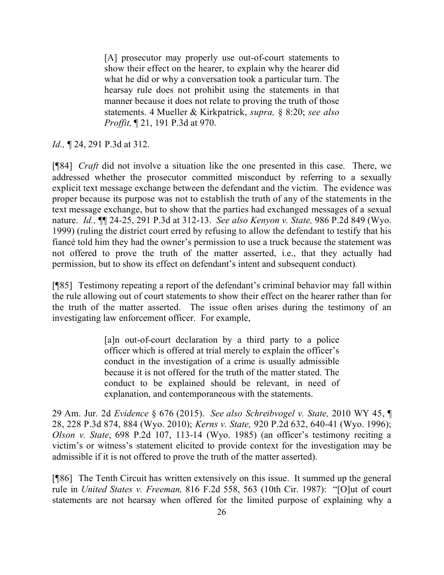[A] prosecutor may properly use out-of-court statements to show their effect on the hearer, to explain why the hearer did what he did or why a conversation took a particular turn. The hearsay rule does not prohibit using the statements in that manner because it does not relate to proving the truth of those statements. 4 Mueller & Kirkpatrick, *supra,* § 8:20; *see also Proffit,* ¶ 21, 191 P.3d at 970.

*Id.,* ¶ 24, 291 P.3d at 312.

[¶84] *Craft* did not involve a situation like the one presented in this case. There, we addressed whether the prosecutor committed misconduct by referring to a sexually explicit text message exchange between the defendant and the victim. The evidence was proper because its purpose was not to establish the truth of any of the statements in the text message exchange, but to show that the parties had exchanged messages of a sexual nature. *Id.,* ¶¶ 24-25, 291 P.3d at 312-13. *See also Kenyon v. State,* 986 P.2d 849 (Wyo. 1999) (ruling the district court erred by refusing to allow the defendant to testify that his fiancé told him they had the owner's permission to use a truck because the statement was not offered to prove the truth of the matter asserted, i.e., that they actually had permission, but to show its effect on defendant's intent and subsequent conduct).

[¶85] Testimony repeating a report of the defendant's criminal behavior may fall within the rule allowing out of court statements to show their effect on the hearer rather than for the truth of the matter asserted. The issue often arises during the testimony of an investigating law enforcement officer. For example,

> [a]n out-of-court declaration by a third party to a police officer which is offered at trial merely to explain the officer's conduct in the investigation of a crime is usually admissible because it is not offered for the truth of the matter stated. The conduct to be explained should be relevant, in need of explanation, and contemporaneous with the statements.

29 Am. Jur. 2d *Evidence* § 676 (2015). *See also Schreibvogel v. State,* 2010 WY 45, ¶ 28, 228 P.3d 874, 884 (Wyo. 2010); *Kerns v. State,* 920 P.2d 632, 640-41 (Wyo. 1996); *Olson v. State*, 698 P.2d 107, 113-14 (Wyo. 1985) (an officer's testimony reciting a victim's or witness's statement elicited to provide context for the investigation may be admissible if it is not offered to prove the truth of the matter asserted).

[¶86] The Tenth Circuit has written extensively on this issue. It summed up the general rule in *United States v. Freeman,* 816 F.2d 558, 563 (10th Cir. 1987): "[O]ut of court statements are not hearsay when offered for the limited purpose of explaining why a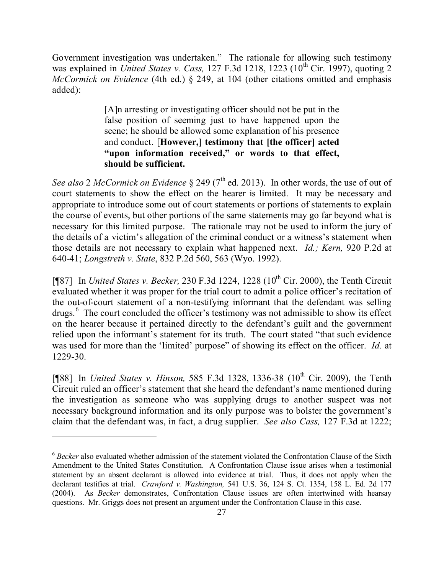Government investigation was undertaken." The rationale for allowing such testimony was explained in *United States v. Cass,* 127 F.3d 1218, 1223 (10<sup>th</sup> Cir. 1997), quoting 2 *McCormick on Evidence* (4th ed.) § 249, at 104 (other citations omitted and emphasis added):

> [A]n arresting or investigating officer should not be put in the false position of seeming just to have happened upon the scene; he should be allowed some explanation of his presence and conduct. [**However,] testimony that [the officer] acted "upon information received," or words to that effect, should be sufficient.**

*See also* 2 *McCormick on Evidence*  $\S$  249 ( $7<sup>th</sup>$  ed. 2013). In other words, the use of out of court statements to show the effect on the hearer is limited. It may be necessary and appropriate to introduce some out of court statements or portions of statements to explain the course of events, but other portions of the same statements may go far beyond what is necessary for this limited purpose. The rationale may not be used to inform the jury of the details of a victim's allegation of the criminal conduct or a witness's statement when those details are not necessary to explain what happened next. *Id.; Kern,* 920 P.2d at 640-41; *Longstreth v. State*, 832 P.2d 560, 563 (Wyo. 1992).

[¶87] In *United States v. Becker*, 230 F.3d 1224, 1228 (10<sup>th</sup> Cir. 2000), the Tenth Circuit evaluated whether it was proper for the trial court to admit a police officer's recitation of the out-of-court statement of a non-testifying informant that the defendant was selling drugs.<sup>6</sup> The court concluded the officer's testimony was not admissible to show its effect on the hearer because it pertained directly to the defendant's guilt and the government relied upon the informant's statement for its truth. The court stated "that such evidence was used for more than the 'limited' purpose" of showing its effect on the officer. *Id.* at 1229-30.

[¶88] In *United States v. Hinson,* 585 F.3d 1328, 1336-38 (10<sup>th</sup> Cir. 2009), the Tenth Circuit ruled an officer's statement that she heard the defendant's name mentioned during the investigation as someone who was supplying drugs to another suspect was not necessary background information and its only purpose was to bolster the government's claim that the defendant was, in fact, a drug supplier. *See also Cass,* 127 F.3d at 1222;

 $\overline{a}$ 

<sup>6</sup> *Becker* also evaluated whether admission of the statement violated the Confrontation Clause of the Sixth Amendment to the United States Constitution. A Confrontation Clause issue arises when a testimonial statement by an absent declarant is allowed into evidence at trial. Thus, it does not apply when the declarant testifies at trial. *Crawford v. Washington,* 541 U.S. 36, 124 S. Ct. 1354, 158 L. Ed. 2d 177 (2004). As *Becker* demonstrates, Confrontation Clause issues are often intertwined with hearsay questions. Mr. Griggs does not present an argument under the Confrontation Clause in this case.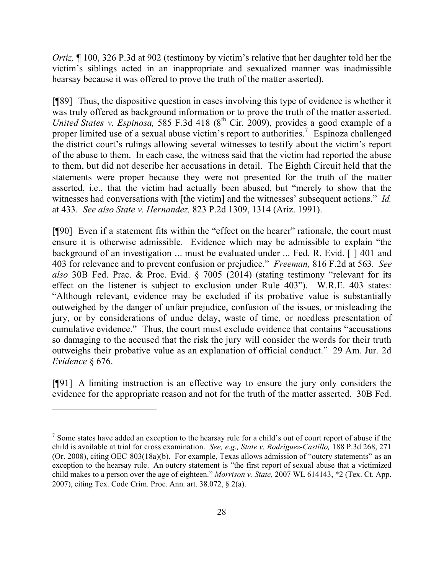*Ortiz*,  $\P$  100, 326 P.3d at 902 (testimony by victim's relative that her daughter told her the victim's siblings acted in an inappropriate and sexualized manner was inadmissible hearsay because it was offered to prove the truth of the matter asserted).

[¶89] Thus, the dispositive question in cases involving this type of evidence is whether it was truly offered as background information or to prove the truth of the matter asserted. *United States v. Espinosa,* 585 F.3d 418 (8<sup>th</sup> Cir. 2009), provides a good example of a proper limited use of a sexual abuse victim's report to authorities.<sup>7</sup> Espinoza challenged the district court's rulings allowing several witnesses to testify about the victim's report of the abuse to them. In each case, the witness said that the victim had reported the abuse to them, but did not describe her accusations in detail. The Eighth Circuit held that the statements were proper because they were not presented for the truth of the matter asserted, i.e., that the victim had actually been abused, but "merely to show that the witnesses had conversations with [the victim] and the witnesses' subsequent actions." *Id.*  at 433. *See also State v. Hernandez,* 823 P.2d 1309, 1314 (Ariz. 1991).

[¶90] Even if a statement fits within the "effect on the hearer" rationale, the court must ensure it is otherwise admissible. Evidence which may be admissible to explain "the background of an investigation ... must be evaluated under ... Fed. R. Evid. [ ] 401 and 403 for relevance and to prevent confusion or prejudice." *Freeman,* 816 F.2d at 563. *See also* 30B Fed. Prac. & Proc. Evid. § 7005 (2014) (stating testimony "relevant for its effect on the listener is subject to exclusion under Rule 403"). W.R.E. 403 states: "Although relevant, evidence may be excluded if its probative value is substantially outweighed by the danger of unfair prejudice, confusion of the issues, or misleading the jury, or by considerations of undue delay, waste of time, or needless presentation of cumulative evidence." Thus, the court must exclude evidence that contains "accusations so damaging to the accused that the risk the jury will consider the words for their truth outweighs their probative value as an explanation of official conduct." 29 Am. Jur. 2d *Evidence* § 676.

[¶91] A limiting instruction is an effective way to ensure the jury only considers the evidence for the appropriate reason and not for the truth of the matter asserted. 30B Fed.

 $\overline{a}$ 

 $<sup>7</sup>$  Some states have added an exception to the hearsay rule for a child's out of court report of abuse if the</sup> child is available at trial for cross examination. *See, e.g., State v. Rodriguez-Castillo,* 188 P.3d 268, 271 (Or. 2008), citing OEC 803(18a)(b). For example, Texas allows admission of "outcry statements" as an exception to the hearsay rule. An outcry statement is "the first report of sexual abuse that a victimized child makes to a person over the age of eighteen." *Morrison v. State,* 2007 WL 614143, \*2 (Tex. Ct. App. 2007), citing Tex. Code Crim. Proc. Ann. art. 38.072, § 2(a).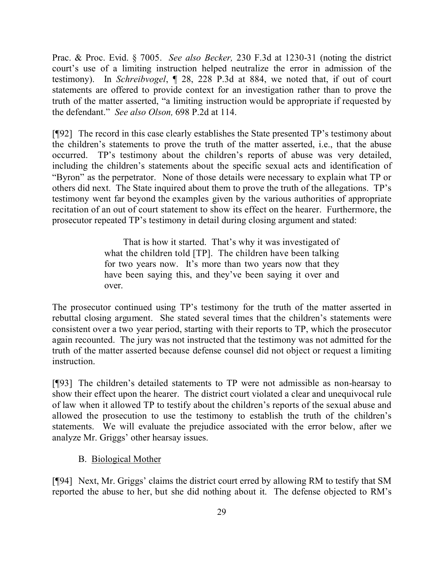Prac. & Proc. Evid. § 7005. *See also Becker,* 230 F.3d at 1230-31 (noting the district court's use of a limiting instruction helped neutralize the error in admission of the testimony). In *Schreibvogel*, ¶ 28, 228 P.3d at 884, we noted that, if out of court statements are offered to provide context for an investigation rather than to prove the truth of the matter asserted, "a limiting instruction would be appropriate if requested by the defendant." *See also Olson,* 698 P.2d at 114.

[¶92] The record in this case clearly establishes the State presented TP's testimony about the children's statements to prove the truth of the matter asserted, i.e., that the abuse occurred. TP's testimony about the children's reports of abuse was very detailed, including the children's statements about the specific sexual acts and identification of "Byron" as the perpetrator. None of those details were necessary to explain what TP or others did next. The State inquired about them to prove the truth of the allegations. TP's testimony went far beyond the examples given by the various authorities of appropriate recitation of an out of court statement to show its effect on the hearer. Furthermore, the prosecutor repeated TP's testimony in detail during closing argument and stated:

> That is how it started. That's why it was investigated of what the children told [TP]. The children have been talking for two years now. It's more than two years now that they have been saying this, and they've been saying it over and over.

The prosecutor continued using TP's testimony for the truth of the matter asserted in rebuttal closing argument. She stated several times that the children's statements were consistent over a two year period, starting with their reports to TP, which the prosecutor again recounted. The jury was not instructed that the testimony was not admitted for the truth of the matter asserted because defense counsel did not object or request a limiting instruction.

[¶93] The children's detailed statements to TP were not admissible as non-hearsay to show their effect upon the hearer. The district court violated a clear and unequivocal rule of law when it allowed TP to testify about the children's reports of the sexual abuse and allowed the prosecution to use the testimony to establish the truth of the children's statements. We will evaluate the prejudice associated with the error below, after we analyze Mr. Griggs' other hearsay issues.

## B. Biological Mother

[¶94] Next, Mr. Griggs' claims the district court erred by allowing RM to testify that SM reported the abuse to her, but she did nothing about it. The defense objected to RM's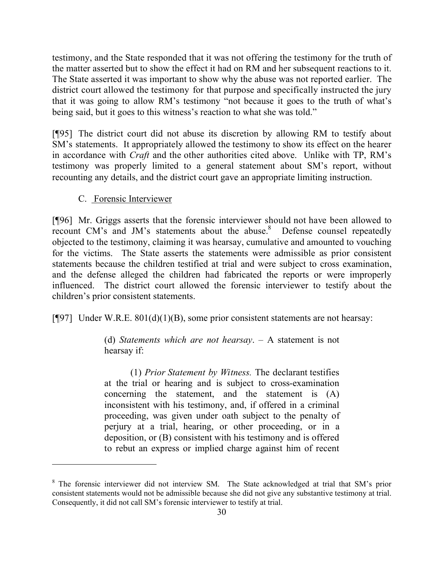testimony, and the State responded that it was not offering the testimony for the truth of the matter asserted but to show the effect it had on RM and her subsequent reactions to it. The State asserted it was important to show why the abuse was not reported earlier. The district court allowed the testimony for that purpose and specifically instructed the jury that it was going to allow RM's testimony "not because it goes to the truth of what's being said, but it goes to this witness's reaction to what she was told."

[¶95] The district court did not abuse its discretion by allowing RM to testify about SM's statements. It appropriately allowed the testimony to show its effect on the hearer in accordance with *Craft* and the other authorities cited above. Unlike with TP, RM's testimony was properly limited to a general statement about SM's report, without recounting any details, and the district court gave an appropriate limiting instruction.

#### C. Forensic Interviewer

[¶96] Mr. Griggs asserts that the forensic interviewer should not have been allowed to recount CM's and JM's statements about the abuse.<sup>8</sup> Defense counsel repeatedly objected to the testimony, claiming it was hearsay, cumulative and amounted to vouching for the victims. The State asserts the statements were admissible as prior consistent statements because the children testified at trial and were subject to cross examination, and the defense alleged the children had fabricated the reports or were improperly influenced. The district court allowed the forensic interviewer to testify about the children's prior consistent statements.

[ $[$ 97] Under W.R.E. 801(d)(1)(B), some prior consistent statements are not hearsay:

(d) *Statements which are not hearsay*. – A statement is not hearsay if:

(1) *Prior Statement by Witness.* The declarant testifies at the trial or hearing and is subject to cross-examination concerning the statement, and the statement is (A) inconsistent with his testimony, and, if offered in a criminal proceeding, was given under oath subject to the penalty of perjury at a trial, hearing, or other proceeding, or in a deposition, or (B) consistent with his testimony and is offered to rebut an express or implied charge against him of recent

<sup>&</sup>lt;sup>8</sup> The forensic interviewer did not interview SM. The State acknowledged at trial that SM's prior consistent statements would not be admissible because she did not give any substantive testimony at trial. Consequently, it did not call SM's forensic interviewer to testify at trial.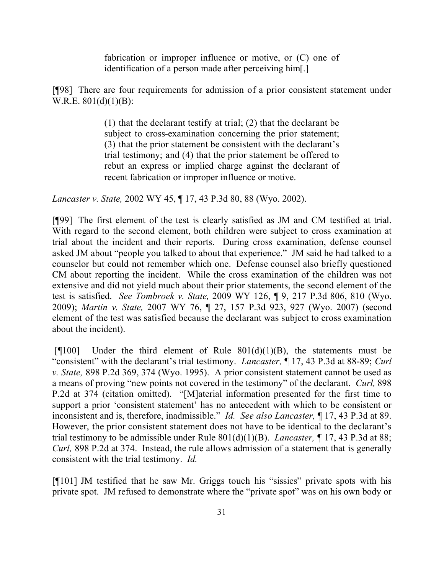fabrication or improper influence or motive, or  $(C)$  one of identification of a person made after perceiving him[.]

[¶98] There are four requirements for admission of a prior consistent statement under W.R.E. 801(d)(1)(B):

> (1) that the declarant testify at trial; (2) that the declarant be subject to cross-examination concerning the prior statement; (3) that the prior statement be consistent with the declarant's trial testimony; and (4) that the prior statement be offered to rebut an express or implied charge against the declarant of recent fabrication or improper influence or motive.

*Lancaster v. State,* 2002 WY 45, ¶ 17, 43 P.3d 80, 88 (Wyo. 2002).

[¶99] The first element of the test is clearly satisfied as JM and CM testified at trial. With regard to the second element, both children were subject to cross examination at trial about the incident and their reports. During cross examination, defense counsel asked JM about "people you talked to about that experience." JM said he had talked to a counselor but could not remember which one. Defense counsel also briefly questioned CM about reporting the incident. While the cross examination of the children was not extensive and did not yield much about their prior statements, the second element of the test is satisfied. *See Tombroek v. State,* 2009 WY 126, ¶ 9, 217 P.3d 806, 810 (Wyo. 2009); *Martin v. State,* 2007 WY 76, ¶ 27, 157 P.3d 923, 927 (Wyo. 2007) (second element of the test was satisfied because the declarant was subject to cross examination about the incident).

[ $[$ [100] Under the third element of Rule 801(d)(1)(B), the statements must be "consistent" with the declarant's trial testimony. *Lancaster,* ¶ 17, 43 P.3d at 88-89; *Curl v. State,* 898 P.2d 369, 374 (Wyo. 1995). A prior consistent statement cannot be used as a means of proving "new points not covered in the testimony" of the declarant. *Curl,* 898 P.2d at 374 (citation omitted). "[M]aterial information presented for the first time to support a prior 'consistent statement' has no antecedent with which to be consistent or inconsistent and is, therefore, inadmissible." *Id. See also Lancaster,* ¶ 17, 43 P.3d at 89. However, the prior consistent statement does not have to be identical to the declarant's trial testimony to be admissible under Rule 801(d)(1)(B). *Lancaster, ¶* 17, 43 P.3d at 88; *Curl,* 898 P.2d at 374. Instead, the rule allows admission of a statement that is generally consistent with the trial testimony. *Id.* 

[¶101] JM testified that he saw Mr. Griggs touch his "sissies" private spots with his private spot. JM refused to demonstrate where the "private spot" was on his own body or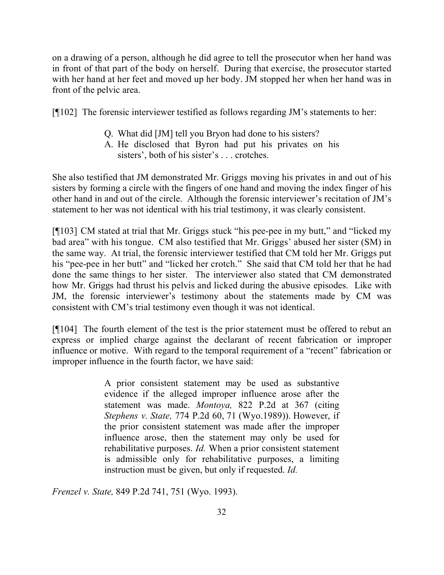on a drawing of a person, although he did agree to tell the prosecutor when her hand was in front of that part of the body on herself. During that exercise, the prosecutor started with her hand at her feet and moved up her body. JM stopped her when her hand was in front of the pelvic area.

[¶102] The forensic interviewer testified as follows regarding JM's statements to her:

- Q. What did [JM] tell you Bryon had done to his sisters?
- A. He disclosed that Byron had put his privates on his sisters', both of his sister's . . . crotches.

She also testified that JM demonstrated Mr. Griggs moving his privates in and out of his sisters by forming a circle with the fingers of one hand and moving the index finger of his other hand in and out of the circle. Although the forensic interviewer's recitation of JM's statement to her was not identical with his trial testimony, it was clearly consistent.

[¶103] CM stated at trial that Mr. Griggs stuck "his pee-pee in my butt," and "licked my bad area" with his tongue. CM also testified that Mr. Griggs' abused her sister (SM) in the same way. At trial, the forensic interviewer testified that CM told her Mr. Griggs put his "pee-pee in her butt" and "licked her crotch." She said that CM told her that he had done the same things to her sister. The interviewer also stated that CM demonstrated how Mr. Griggs had thrust his pelvis and licked during the abusive episodes. Like with JM, the forensic interviewer's testimony about the statements made by CM was consistent with CM's trial testimony even though it was not identical.

[¶104] The fourth element of the test is the prior statement must be offered to rebut an express or implied charge against the declarant of recent fabrication or improper influence or motive. With regard to the temporal requirement of a "recent" fabrication or improper influence in the fourth factor, we have said:

> A prior consistent statement may be used as substantive evidence if the alleged improper influence arose after the statement was made. *Montoya,* 822 P.2d at 367 (citing *Stephens v. State,* 774 P.2d 60, 71 (Wyo.1989)). However, if the prior consistent statement was made after the improper influence arose, then the statement may only be used for rehabilitative purposes. *Id.* When a prior consistent statement is admissible only for rehabilitative purposes, a limiting instruction must be given, but only if requested. *Id.*

*Frenzel v. State,* 849 P.2d 741, 751 (Wyo. 1993).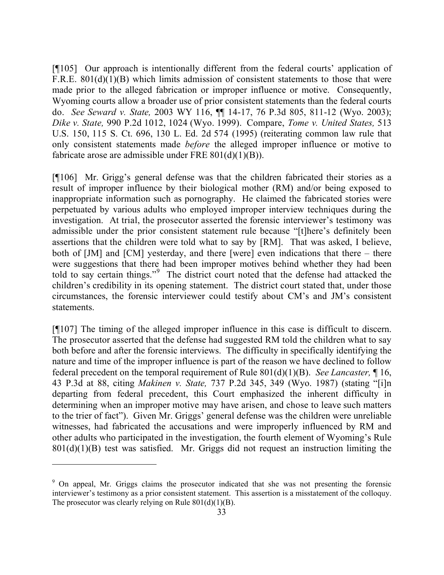[¶105] Our approach is intentionally different from the federal courts' application of F.R.E. 801(d)(1)(B) which limits admission of consistent statements to those that were made prior to the alleged fabrication or improper influence or motive. Consequently, Wyoming courts allow a broader use of prior consistent statements than the federal courts do. *See Seward v. State,* 2003 WY 116, ¶¶ 14-17, 76 P.3d 805, 811-12 (Wyo. 2003); *Dike v. State,* 990 P.2d 1012, 1024 (Wyo. 1999). Compare, *Tome v. United States,* 513 U.S. 150, 115 S. Ct. 696, 130 L. Ed. 2d 574 (1995) (reiterating common law rule that only consistent statements made *before* the alleged improper influence or motive to fabricate arose are admissible under FRE  $801(d)(1)(B)$ .

[¶106] Mr. Grigg's general defense was that the children fabricated their stories as a result of improper influence by their biological mother (RM) and/or being exposed to inappropriate information such as pornography. He claimed the fabricated stories were perpetuated by various adults who employed improper interview techniques during the investigation. At trial, the prosecutor asserted the forensic interviewer's testimony was admissible under the prior consistent statement rule because "[t]here's definitely been assertions that the children were told what to say by [RM]. That was asked, I believe, both of  $[JM]$  and  $[CM]$  yesterday, and there [were] even indications that there – there were suggestions that there had been improper motives behind whether they had been told to say certain things."<sup>9</sup> The district court noted that the defense had attacked the children's credibility in its opening statement. The district court stated that, under those circumstances, the forensic interviewer could testify about CM's and JM's consistent statements.

[¶107] The timing of the alleged improper influence in this case is difficult to discern. The prosecutor asserted that the defense had suggested RM told the children what to say both before and after the forensic interviews. The difficulty in specifically identifying the nature and time of the improper influence is part of the reason we have declined to follow federal precedent on the temporal requirement of Rule 801(d)(1)(B). *See Lancaster,* ¶ 16, 43 P.3d at 88, citing *Makinen v. State,* 737 P.2d 345, 349 (Wyo. 1987) (stating "[i]n departing from federal precedent, this Court emphasized the inherent difficulty in determining when an improper motive may have arisen, and chose to leave such matters to the trier of fact"). Given Mr. Griggs' general defense was the children were unreliable witnesses, had fabricated the accusations and were improperly influenced by RM and other adults who participated in the investigation, the fourth element of Wyoming's Rule  $801(d)(1)(B)$  test was satisfied. Mr. Griggs did not request an instruction limiting the

<sup>&</sup>lt;sup>9</sup> On appeal, Mr. Griggs claims the prosecutor indicated that she was not presenting the forensic interviewer's testimony as a prior consistent statement. This assertion is a misstatement of the colloquy. The prosecutor was clearly relying on Rule  $801(d)(1)(B)$ .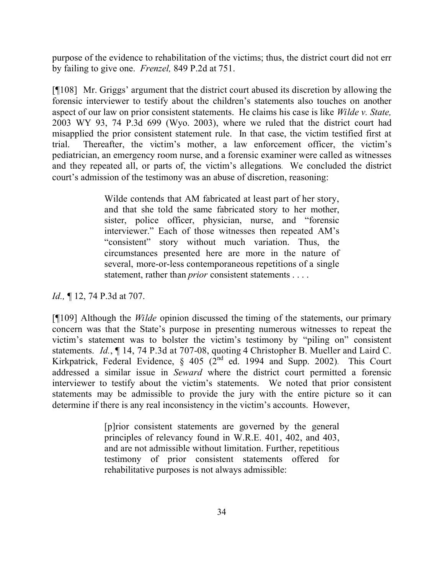purpose of the evidence to rehabilitation of the victims; thus, the district court did not err by failing to give one. *Frenzel,* 849 P.2d at 751.

[¶108] Mr. Griggs' argument that the district court abused its discretion by allowing the forensic interviewer to testify about the children's statements also touches on another aspect of our law on prior consistent statements. He claims his case is like *Wilde v. State,*  2003 WY 93, 74 P.3d 699 (Wyo. 2003), where we ruled that the district court had misapplied the prior consistent statement rule. In that case, the victim testified first at trial. Thereafter, the victim's mother, a law enforcement officer, the victim's pediatrician, an emergency room nurse, and a forensic examiner were called as witnesses and they repeated all, or parts of, the victim's allegations. We concluded the district court's admission of the testimony was an abuse of discretion, reasoning:

> Wilde contends that AM fabricated at least part of her story, and that she told the same fabricated story to her mother, sister, police officer, physician, nurse, and "forensic interviewer." Each of those witnesses then repeated AM's "consistent" story without much variation. Thus, the circumstances presented here are more in the nature of several, more-or-less contemporaneous repetitions of a single statement, rather than *prior* consistent statements . . . .

*Id.*, **[12, 74 P.3d at 707.** 

[¶109] Although the *Wilde* opinion discussed the timing of the statements, our primary concern was that the State's purpose in presenting numerous witnesses to repeat the victim's statement was to bolster the victim's testimony by "piling on" consistent statements. *Id.*, ¶ 14, 74 P.3d at 707-08, quoting 4 Christopher B. Mueller and Laird C. Kirkpatrick, Federal Evidence, § 405 (2<sup>nd</sup> ed. 1994 and Supp. 2002). This Court addressed a similar issue in *Seward* where the district court permitted a forensic interviewer to testify about the victim's statements. We noted that prior consistent statements may be admissible to provide the jury with the entire picture so it can determine if there is any real inconsistency in the victim's accounts. However,

> [p]rior consistent statements are governed by the general principles of relevancy found in W.R.E. 401, 402, and 403, and are not admissible without limitation. Further, repetitious testimony of prior consistent statements offered for rehabilitative purposes is not always admissible: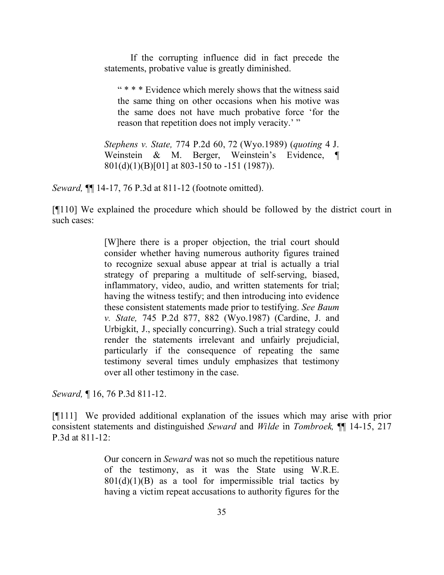If the corrupting influence did in fact precede the statements, probative value is greatly diminished.

" \* \* \* Evidence which merely shows that the witness said the same thing on other occasions when his motive was the same does not have much probative force 'for the reason that repetition does not imply veracity.' "

*Stephens v. State,* 774 P.2d 60, 72 (Wyo.1989) (*quoting* 4 J. Weinstein & M. Berger, Weinstein's Evidence, ¶ 801(d)(1)(B)[01] at 803-150 to -151 (1987)).

*Seward,* ¶¶ 14-17, 76 P.3d at 811-12 (footnote omitted).

[¶110] We explained the procedure which should be followed by the district court in such cases:

> [W]here there is a proper objection, the trial court should consider whether having numerous authority figures trained to recognize sexual abuse appear at trial is actually a trial strategy of preparing a multitude of self-serving, biased, inflammatory, video, audio, and written statements for trial; having the witness testify; and then introducing into evidence these consistent statements made prior to testifying. *See Baum v. State,* 745 P.2d 877, 882 (Wyo.1987) (Cardine, J. and Urbigkit, J., specially concurring). Such a trial strategy could render the statements irrelevant and unfairly prejudicial, particularly if the consequence of repeating the same testimony several times unduly emphasizes that testimony over all other testimony in the case.

*Seward,* ¶ 16, 76 P.3d 811-12.

[¶111] We provided additional explanation of the issues which may arise with prior consistent statements and distinguished *Seward* and *Wilde* in *Tombroek,* ¶¶ 14-15, 217 P.3d at 811-12:

> Our concern in *Seward* was not so much the repetitious nature of the testimony, as it was the State using W.R.E.  $801(d)(1)(B)$  as a tool for impermissible trial tactics by having a victim repeat accusations to authority figures for the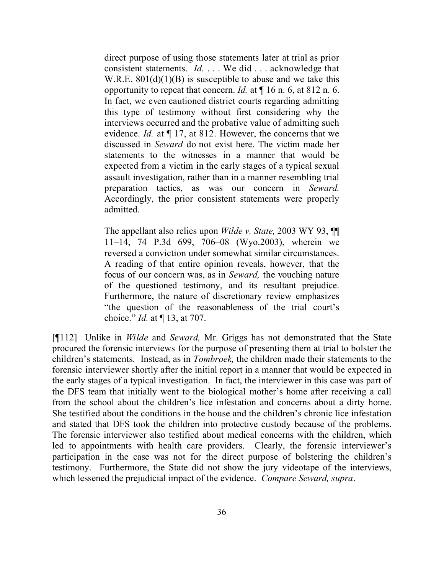direct purpose of using those statements later at trial as prior consistent statements. *Id.* . . . We did . . . acknowledge that W.R.E.  $801(d)(1)(B)$  is susceptible to abuse and we take this opportunity to repeat that concern. *Id.* at ¶ 16 n. 6, at 812 n. 6. In fact, we even cautioned district courts regarding admitting this type of testimony without first considering why the interviews occurred and the probative value of admitting such evidence. *Id.* at ¶ 17, at 812. However, the concerns that we discussed in *Seward* do not exist here. The victim made her statements to the witnesses in a manner that would be expected from a victim in the early stages of a typical sexual assault investigation, rather than in a manner resembling trial preparation tactics, as was our concern in *Seward.* Accordingly, the prior consistent statements were properly admitted.

The appellant also relies upon *Wilde v. State,* 2003 WY 93, ¶¶ 11–14, 74 P.3d 699, 706–08 (Wyo.2003), wherein we reversed a conviction under somewhat similar circumstances. A reading of that entire opinion reveals, however, that the focus of our concern was, as in *Seward,* the vouching nature of the questioned testimony, and its resultant prejudice. Furthermore, the nature of discretionary review emphasizes "the question of the reasonableness of the trial court's choice." *Id.* at ¶ 13, at 707.

[¶112] Unlike in *Wilde* and *Seward,* Mr. Griggs has not demonstrated that the State procured the forensic interviews for the purpose of presenting them at trial to bolster the children's statements*.* Instead, as in *Tombroek,* the children made their statements to the forensic interviewer shortly after the initial report in a manner that would be expected in the early stages of a typical investigation. In fact, the interviewer in this case was part of the DFS team that initially went to the biological mother's home after receiving a call from the school about the children's lice infestation and concerns about a dirty home. She testified about the conditions in the house and the children's chronic lice infestation and stated that DFS took the children into protective custody because of the problems. The forensic interviewer also testified about medical concerns with the children, which led to appointments with health care providers. Clearly, the forensic interviewer's participation in the case was not for the direct purpose of bolstering the children's testimony. Furthermore, the State did not show the jury videotape of the interviews, which lessened the prejudicial impact of the evidence. *Compare Seward, supra*.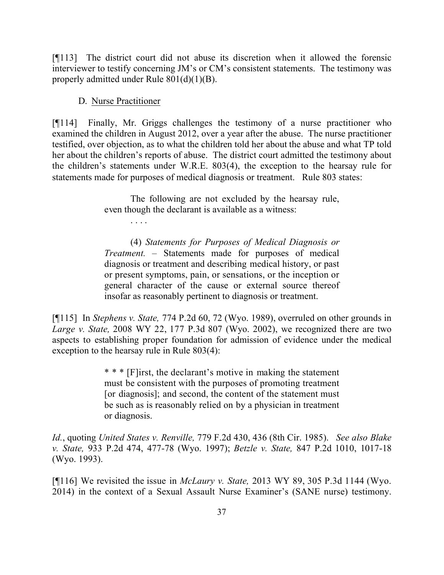[¶113] The district court did not abuse its discretion when it allowed the forensic interviewer to testify concerning JM's or CM's consistent statements. The testimony was properly admitted under Rule 801(d)(1)(B).

#### D. Nurse Practitioner

[¶114] Finally, Mr. Griggs challenges the testimony of a nurse practitioner who examined the children in August 2012, over a year after the abuse. The nurse practitioner testified, over objection, as to what the children told her about the abuse and what TP told her about the children's reports of abuse. The district court admitted the testimony about the children's statements under W.R.E. 803(4), the exception to the hearsay rule for statements made for purposes of medical diagnosis or treatment. Rule 803 states:

> The following are not excluded by the hearsay rule, even though the declarant is available as a witness:

> > . . . .

(4) *Statements for Purposes of Medical Diagnosis or Treatment.* – Statements made for purposes of medical diagnosis or treatment and describing medical history, or past or present symptoms, pain, or sensations, or the inception or general character of the cause or external source thereof insofar as reasonably pertinent to diagnosis or treatment.

[¶115] In *Stephens v. State,* 774 P.2d 60, 72 (Wyo. 1989), overruled on other grounds in *Large v. State,* 2008 WY 22, 177 P.3d 807 (Wyo. 2002), we recognized there are two aspects to establishing proper foundation for admission of evidence under the medical exception to the hearsay rule in Rule 803(4):

> \* \* \* [F]irst, the declarant's motive in making the statement must be consistent with the purposes of promoting treatment [or diagnosis]; and second, the content of the statement must be such as is reasonably relied on by a physician in treatment or diagnosis.

*Id.*, quoting *United States v. Renville,* 779 F.2d 430, 436 (8th Cir. 1985). *See also Blake v. State,* 933 P.2d 474, 477-78 (Wyo. 1997); *Betzle v. State,* 847 P.2d 1010, 1017-18 (Wyo. 1993).

[¶116] We revisited the issue in *McLaury v. State,* 2013 WY 89, 305 P.3d 1144 (Wyo. 2014) in the context of a Sexual Assault Nurse Examiner's (SANE nurse) testimony.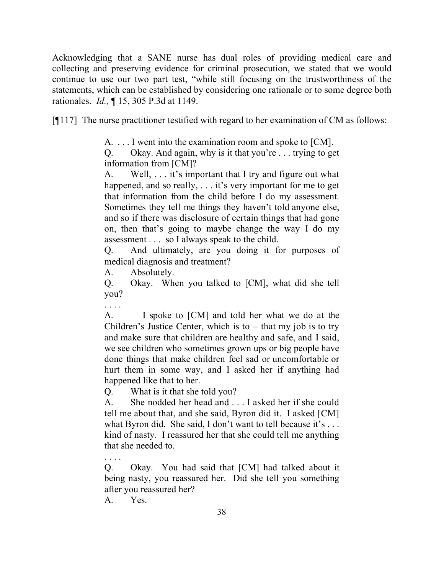Acknowledging that a SANE nurse has dual roles of providing medical care and collecting and preserving evidence for criminal prosecution, we stated that we would continue to use our two part test, "while still focusing on the trustworthiness of the statements, which can be established by considering one rationale or to some degree both rationales. *Id.,* ¶ 15, 305 P.3d at 1149.

[¶117] The nurse practitioner testified with regard to her examination of CM as follows:

A. . . . I went into the examination room and spoke to [CM].

Q. Okay. And again, why is it that you're . . . trying to get information from [CM]?

A. Well, . . . it's important that I try and figure out what happened, and so really, ... it's very important for me to get that information from the child before I do my assessment. Sometimes they tell me things they haven't told anyone else, and so if there was disclosure of certain things that had gone on, then that's going to maybe change the way I do my assessment . . . so I always speak to the child.

Q. And ultimately, are you doing it for purposes of medical diagnosis and treatment?

A. Absolutely.

Q. Okay. When you talked to [CM], what did she tell you?

. . . .

A. I spoke to [CM] and told her what we do at the Children's Justice Center, which is to  $-$  that my job is to try and make sure that children are healthy and safe, and I said, we see children who sometimes grown ups or big people have done things that make children feel sad or uncomfortable or hurt them in some way, and I asked her if anything had happened like that to her.

Q. What is it that she told you?

A. She nodded her head and . . . I asked her if she could tell me about that, and she said, Byron did it. I asked [CM] what Byron did. She said, I don't want to tell because it's ... kind of nasty. I reassured her that she could tell me anything that she needed to.

Q. Okay. You had said that [CM] had talked about it being nasty, you reassured her. Did she tell you something after you reassured her?

A. Yes.

. . . .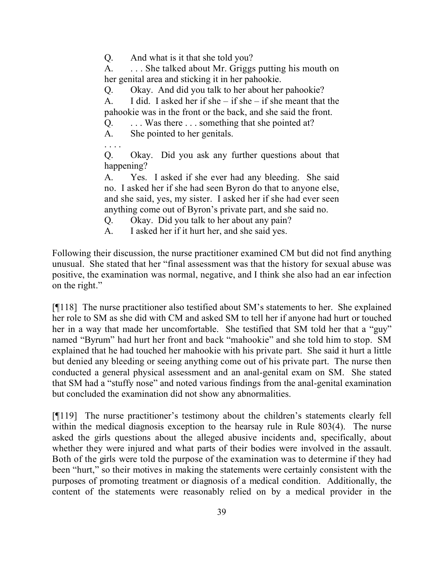Q. And what is it that she told you?

A. . . . She talked about Mr. Griggs putting his mouth on her genital area and sticking it in her pahookie.

Q. Okay. And did you talk to her about her pahookie?

A. I did. I asked her if she – if she – if she meant that the pahookie was in the front or the back, and she said the front.

Q. . . . Was there . . . something that she pointed at?

A. She pointed to her genitals.

. . . .

Q. Okay. Did you ask any further questions about that happening?

A. Yes. I asked if she ever had any bleeding. She said no. I asked her if she had seen Byron do that to anyone else, and she said, yes, my sister. I asked her if she had ever seen anything come out of Byron's private part, and she said no.

Q. Okay. Did you talk to her about any pain?

A. I asked her if it hurt her, and she said yes.

Following their discussion, the nurse practitioner examined CM but did not find anything unusual. She stated that her "final assessment was that the history for sexual abuse was positive, the examination was normal, negative, and I think she also had an ear infection on the right."

[¶118] The nurse practitioner also testified about SM's statements to her. She explained her role to SM as she did with CM and asked SM to tell her if anyone had hurt or touched her in a way that made her uncomfortable. She testified that SM told her that a "guy" named "Byrum" had hurt her front and back "mahookie" and she told him to stop. SM explained that he had touched her mahookie with his private part. She said it hurt a little but denied any bleeding or seeing anything come out of his private part. The nurse then conducted a general physical assessment and an anal-genital exam on SM. She stated that SM had a "stuffy nose" and noted various findings from the anal-genital examination but concluded the examination did not show any abnormalities.

[¶119] The nurse practitioner's testimony about the children's statements clearly fell within the medical diagnosis exception to the hearsay rule in Rule 803(4). The nurse asked the girls questions about the alleged abusive incidents and, specifically, about whether they were injured and what parts of their bodies were involved in the assault. Both of the girls were told the purpose of the examination was to determine if they had been "hurt," so their motives in making the statements were certainly consistent with the purposes of promoting treatment or diagnosis of a medical condition. Additionally, the content of the statements were reasonably relied on by a medical provider in the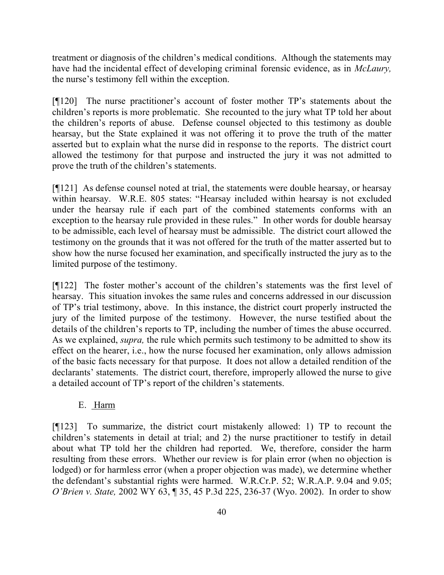treatment or diagnosis of the children's medical conditions. Although the statements may have had the incidental effect of developing criminal forensic evidence, as in *McLaury,*  the nurse's testimony fell within the exception.

[¶120] The nurse practitioner's account of foster mother TP's statements about the children's reports is more problematic. She recounted to the jury what TP told her about the children's reports of abuse. Defense counsel objected to this testimony as double hearsay, but the State explained it was not offering it to prove the truth of the matter asserted but to explain what the nurse did in response to the reports. The district court allowed the testimony for that purpose and instructed the jury it was not admitted to prove the truth of the children's statements.

[¶121] As defense counsel noted at trial, the statements were double hearsay, or hearsay within hearsay. W.R.E. 805 states: "Hearsay included within hearsay is not excluded under the hearsay rule if each part of the combined statements conforms with an exception to the hearsay rule provided in these rules." In other words for double hearsay to be admissible, each level of hearsay must be admissible. The district court allowed the testimony on the grounds that it was not offered for the truth of the matter asserted but to show how the nurse focused her examination, and specifically instructed the jury as to the limited purpose of the testimony.

[¶122] The foster mother's account of the children's statements was the first level of hearsay. This situation invokes the same rules and concerns addressed in our discussion of TP's trial testimony, above. In this instance, the district court properly instructed the jury of the limited purpose of the testimony. However, the nurse testified about the details of the children's reports to TP, including the number of times the abuse occurred. As we explained, *supra,* the rule which permits such testimony to be admitted to show its effect on the hearer, i.e., how the nurse focused her examination, only allows admission of the basic facts necessary for that purpose. It does not allow a detailed rendition of the declarants' statements. The district court, therefore, improperly allowed the nurse to give a detailed account of TP's report of the children's statements.

#### E. Harm

[¶123] To summarize, the district court mistakenly allowed: 1) TP to recount the children's statements in detail at trial; and 2) the nurse practitioner to testify in detail about what TP told her the children had reported. We, therefore, consider the harm resulting from these errors. Whether our review is for plain error (when no objection is lodged) or for harmless error (when a proper objection was made), we determine whether the defendant's substantial rights were harmed. W.R.Cr.P. 52; W.R.A.P. 9.04 and 9.05; *O'Brien v. State,* 2002 WY 63, ¶ 35, 45 P.3d 225, 236-37 (Wyo. 2002). In order to show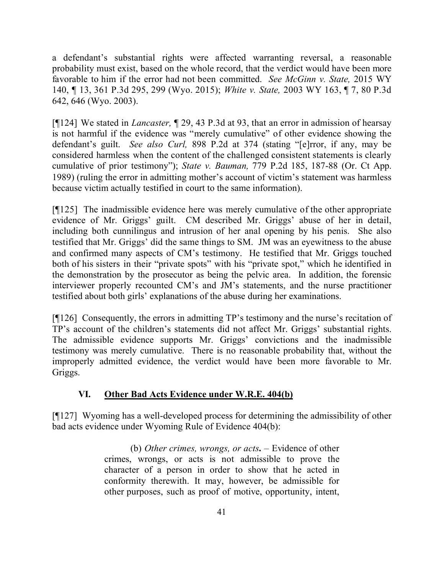a defendant's substantial rights were affected warranting reversal, a reasonable probability must exist, based on the whole record, that the verdict would have been more favorable to him if the error had not been committed. *See McGinn v. State,* 2015 WY 140, ¶ 13, 361 P.3d 295, 299 (Wyo. 2015); *White v. State,* 2003 WY 163, ¶ 7, 80 P.3d 642, 646 (Wyo. 2003).

[¶124] We stated in *Lancaster,* ¶ 29, 43 P.3d at 93, that an error in admission of hearsay is not harmful if the evidence was "merely cumulative" of other evidence showing the defendant's guilt. *See also Curl,* 898 P.2d at 374 (stating "[e]rror, if any, may be considered harmless when the content of the challenged consistent statements is clearly cumulative of prior testimony"); *State v. Bauman,* 779 P.2d 185, 187-88 (Or. Ct App. 1989) (ruling the error in admitting mother's account of victim's statement was harmless because victim actually testified in court to the same information).

[¶125] The inadmissible evidence here was merely cumulative of the other appropriate evidence of Mr. Griggs' guilt. CM described Mr. Griggs' abuse of her in detail, including both cunnilingus and intrusion of her anal opening by his penis. She also testified that Mr. Griggs' did the same things to SM. JM was an eyewitness to the abuse and confirmed many aspects of CM's testimony. He testified that Mr. Griggs touched both of his sisters in their "private spots" with his "private spot," which he identified in the demonstration by the prosecutor as being the pelvic area. In addition, the forensic interviewer properly recounted CM's and JM's statements, and the nurse practitioner testified about both girls' explanations of the abuse during her examinations.

[¶126] Consequently, the errors in admitting TP's testimony and the nurse's recitation of TP's account of the children's statements did not affect Mr. Griggs' substantial rights. The admissible evidence supports Mr. Griggs' convictions and the inadmissible testimony was merely cumulative. There is no reasonable probability that, without the improperly admitted evidence, the verdict would have been more favorable to Mr. Griggs.

# **VI. Other Bad Acts Evidence under W.R.E. 404(b)**

[¶127] Wyoming has a well-developed process for determining the admissibility of other bad acts evidence under Wyoming Rule of Evidence 404(b):

> (b) *Other crimes, wrongs, or acts***.** – Evidence of other crimes, wrongs, or acts is not admissible to prove the character of a person in order to show that he acted in conformity therewith. It may, however, be admissible for other purposes, such as proof of motive, opportunity, intent,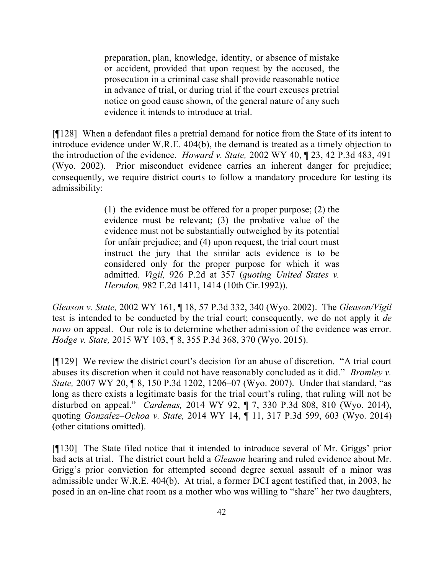preparation, plan, knowledge, identity, or absence of mistake or accident, provided that upon request by the accused, the prosecution in a criminal case shall provide reasonable notice in advance of trial, or during trial if the court excuses pretrial notice on good cause shown, of the general nature of any such evidence it intends to introduce at trial.

[¶128] When a defendant files a pretrial demand for notice from the State of its intent to introduce evidence under W.R.E. 404(b), the demand is treated as a timely objection to the introduction of the evidence. *Howard v. State,* 2002 WY 40, ¶ 23, 42 P.3d 483, 491 (Wyo. 2002). Prior misconduct evidence carries an inherent danger for prejudice; consequently, we require district courts to follow a mandatory procedure for testing its admissibility:

> (1) the evidence must be offered for a proper purpose; (2) the evidence must be relevant; (3) the probative value of the evidence must not be substantially outweighed by its potential for unfair prejudice; and (4) upon request, the trial court must instruct the jury that the similar acts evidence is to be considered only for the proper purpose for which it was admitted. *Vigil,* 926 P.2d at 357 (*quoting United States v. Herndon,* 982 F.2d 1411, 1414 (10th Cir.1992)).

*Gleason v. State,* 2002 WY 161, ¶ 18, 57 P.3d 332, 340 (Wyo. 2002). The *Gleason/Vigil* test is intended to be conducted by the trial court; consequently, we do not apply it *de novo* on appeal. Our role is to determine whether admission of the evidence was error. *Hodge v. State,* 2015 WY 103, ¶ 8, 355 P.3d 368, 370 (Wyo. 2015).

[¶129] We review the district court's decision for an abuse of discretion. "A trial court abuses its discretion when it could not have reasonably concluded as it did." *Bromley v. State,* 2007 WY 20, ¶ 8, 150 P.3d 1202, 1206–07 (Wyo. 2007). Under that standard, "as long as there exists a legitimate basis for the trial court's ruling, that ruling will not be disturbed on appeal." *Cardenas,* 2014 WY 92, ¶ 7, 330 P.3d 808, 810 (Wyo. 2014), quoting *Gonzalez–Ochoa v. State,* 2014 WY 14, ¶ 11, 317 P.3d 599, 603 (Wyo. 2014) (other citations omitted).

[¶130] The State filed notice that it intended to introduce several of Mr. Griggs' prior bad acts at trial. The district court held a *Gleason* hearing and ruled evidence about Mr. Grigg's prior conviction for attempted second degree sexual assault of a minor was admissible under W.R.E. 404(b). At trial, a former DCI agent testified that, in 2003, he posed in an on-line chat room as a mother who was willing to "share" her two daughters,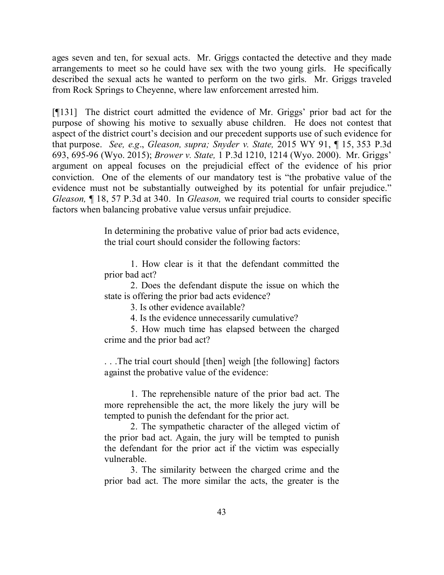ages seven and ten, for sexual acts. Mr. Griggs contacted the detective and they made arrangements to meet so he could have sex with the two young girls. He specifically described the sexual acts he wanted to perform on the two girls. Mr. Griggs traveled from Rock Springs to Cheyenne, where law enforcement arrested him.

[¶131] The district court admitted the evidence of Mr. Griggs' prior bad act for the purpose of showing his motive to sexually abuse children. He does not contest that aspect of the district court's decision and our precedent supports use of such evidence for that purpose. *See, e.g*., *Gleason, supra; Snyder v. State,* 2015 WY 91, ¶ 15, 353 P.3d 693, 695-96 (Wyo. 2015); *Brower v. State,* 1 P.3d 1210, 1214 (Wyo. 2000). Mr. Griggs' argument on appeal focuses on the prejudicial effect of the evidence of his prior conviction. One of the elements of our mandatory test is "the probative value of the evidence must not be substantially outweighed by its potential for unfair prejudice." *Gleason,* ¶ 18, 57 P.3d at 340. In *Gleason,* we required trial courts to consider specific factors when balancing probative value versus unfair prejudice.

> In determining the probative value of prior bad acts evidence, the trial court should consider the following factors:

> 1. How clear is it that the defendant committed the prior bad act?

> 2. Does the defendant dispute the issue on which the state is offering the prior bad acts evidence?

> > 3. Is other evidence available?

4. Is the evidence unnecessarily cumulative?

5. How much time has elapsed between the charged crime and the prior bad act?

. . .The trial court should [then] weigh [the following] factors against the probative value of the evidence:

1. The reprehensible nature of the prior bad act. The more reprehensible the act, the more likely the jury will be tempted to punish the defendant for the prior act.

2. The sympathetic character of the alleged victim of the prior bad act. Again, the jury will be tempted to punish the defendant for the prior act if the victim was especially vulnerable.

3. The similarity between the charged crime and the prior bad act. The more similar the acts, the greater is the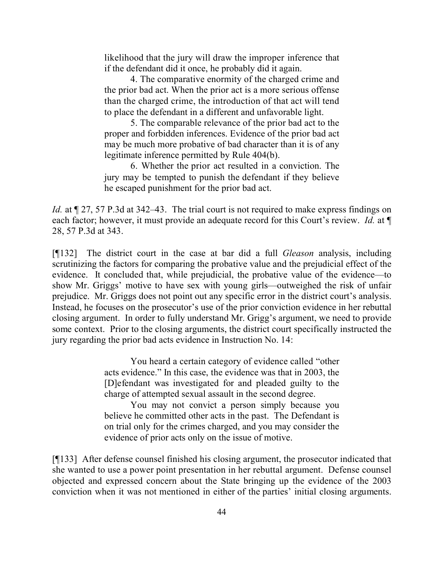likelihood that the jury will draw the improper inference that if the defendant did it once, he probably did it again.

4. The comparative enormity of the charged crime and the prior bad act. When the prior act is a more serious offense than the charged crime, the introduction of that act will tend to place the defendant in a different and unfavorable light.

5. The comparable relevance of the prior bad act to the proper and forbidden inferences. Evidence of the prior bad act may be much more probative of bad character than it is of any legitimate inference permitted by Rule 404(b).

6. Whether the prior act resulted in a conviction. The jury may be tempted to punish the defendant if they believe he escaped punishment for the prior bad act.

*Id.* at  $\sqrt{27}$ , 57 P.3d at 342–43. The trial court is not required to make express findings on each factor; however, it must provide an adequate record for this Court's review. *Id.* at ¶ 28, 57 P.3d at 343.

[¶132] The district court in the case at bar did a full *Gleason* analysis, including scrutinizing the factors for comparing the probative value and the prejudicial effect of the evidence. It concluded that, while prejudicial, the probative value of the evidence—to show Mr. Griggs' motive to have sex with young girls—outweighed the risk of unfair prejudice. Mr. Griggs does not point out any specific error in the district court's analysis. Instead, he focuses on the prosecutor's use of the prior conviction evidence in her rebuttal closing argument. In order to fully understand Mr. Grigg's argument, we need to provide some context. Prior to the closing arguments, the district court specifically instructed the jury regarding the prior bad acts evidence in Instruction No. 14:

> You heard a certain category of evidence called "other acts evidence." In this case, the evidence was that in 2003, the [D]efendant was investigated for and pleaded guilty to the charge of attempted sexual assault in the second degree.

> You may not convict a person simply because you believe he committed other acts in the past. The Defendant is on trial only for the crimes charged, and you may consider the evidence of prior acts only on the issue of motive.

[¶133] After defense counsel finished his closing argument, the prosecutor indicated that she wanted to use a power point presentation in her rebuttal argument. Defense counsel objected and expressed concern about the State bringing up the evidence of the 2003 conviction when it was not mentioned in either of the parties' initial closing arguments.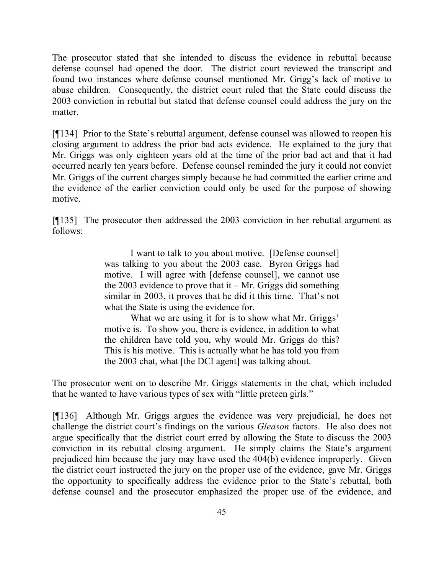The prosecutor stated that she intended to discuss the evidence in rebuttal because defense counsel had opened the door. The district court reviewed the transcript and found two instances where defense counsel mentioned Mr. Grigg's lack of motive to abuse children. Consequently, the district court ruled that the State could discuss the 2003 conviction in rebuttal but stated that defense counsel could address the jury on the matter.

[¶134] Prior to the State's rebuttal argument, defense counsel was allowed to reopen his closing argument to address the prior bad acts evidence. He explained to the jury that Mr. Griggs was only eighteen years old at the time of the prior bad act and that it had occurred nearly ten years before. Defense counsel reminded the jury it could not convict Mr. Griggs of the current charges simply because he had committed the earlier crime and the evidence of the earlier conviction could only be used for the purpose of showing motive.

[¶135] The prosecutor then addressed the 2003 conviction in her rebuttal argument as follows:

> I want to talk to you about motive. [Defense counsel] was talking to you about the 2003 case. Byron Griggs had motive. I will agree with [defense counsel], we cannot use the 2003 evidence to prove that it – Mr. Griggs did something similar in 2003, it proves that he did it this time. That's not what the State is using the evidence for.

> What we are using it for is to show what Mr. Griggs' motive is. To show you, there is evidence, in addition to what the children have told you, why would Mr. Griggs do this? This is his motive. This is actually what he has told you from the 2003 chat, what [the DCI agent] was talking about.

The prosecutor went on to describe Mr. Griggs statements in the chat, which included that he wanted to have various types of sex with "little preteen girls."

[¶136] Although Mr. Griggs argues the evidence was very prejudicial, he does not challenge the district court's findings on the various *Gleason* factors. He also does not argue specifically that the district court erred by allowing the State to discuss the 2003 conviction in its rebuttal closing argument. He simply claims the State's argument prejudiced him because the jury may have used the 404(b) evidence improperly. Given the district court instructed the jury on the proper use of the evidence, gave Mr. Griggs the opportunity to specifically address the evidence prior to the State's rebuttal, both defense counsel and the prosecutor emphasized the proper use of the evidence, and